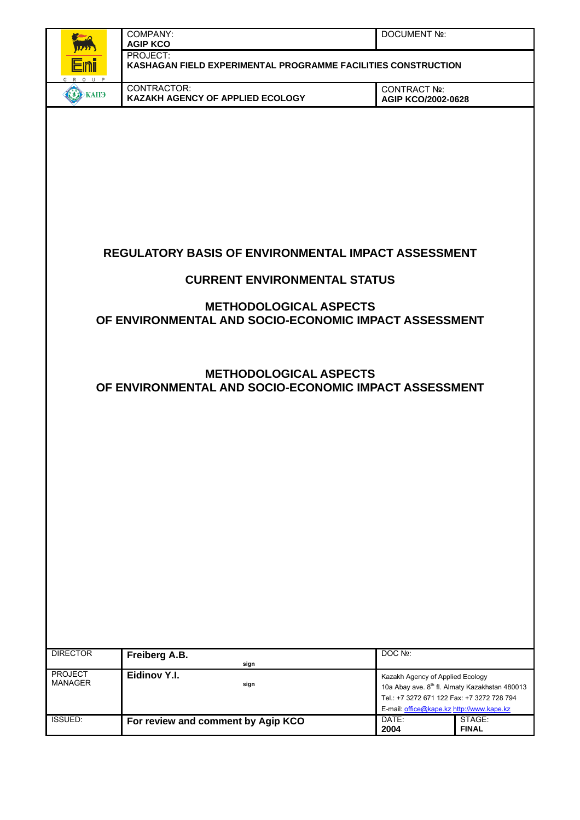|                                  | COMPANY:<br><b>AGIP KCO</b>                                                            | <b>DOCUMENT Nº:</b>                                                                                                         |                                                            |
|----------------------------------|----------------------------------------------------------------------------------------|-----------------------------------------------------------------------------------------------------------------------------|------------------------------------------------------------|
|                                  | PROJECT:<br>KASHAGAN FIELD EXPERIMENTAL PROGRAMME FACILITIES CONSTRUCTION              |                                                                                                                             |                                                            |
| <b>ЕКАПЭ</b>                     | CONTRACTOR:<br>KAZAKH AGENCY OF APPLIED ECOLOGY                                        | CONTRACT Nº:<br>AGIP KCO/2002-0628                                                                                          |                                                            |
|                                  |                                                                                        |                                                                                                                             |                                                            |
|                                  | <b>REGULATORY BASIS OF ENVIRONMENTAL IMPACT ASSESSMENT</b>                             |                                                                                                                             |                                                            |
|                                  | <b>CURRENT ENVIRONMENTAL STATUS</b>                                                    |                                                                                                                             |                                                            |
|                                  | <b>METHODOLOGICAL ASPECTS</b><br>OF ENVIRONMENTAL AND SOCIO-ECONOMIC IMPACT ASSESSMENT |                                                                                                                             |                                                            |
|                                  | <b>METHODOLOGICAL ASPECTS</b><br>OF ENVIRONMENTAL AND SOCIO-ECONOMIC IMPACT ASSESSMENT |                                                                                                                             |                                                            |
|                                  |                                                                                        |                                                                                                                             |                                                            |
|                                  |                                                                                        |                                                                                                                             |                                                            |
|                                  |                                                                                        |                                                                                                                             |                                                            |
|                                  |                                                                                        |                                                                                                                             |                                                            |
| <b>DIRECTOR</b>                  | Freiberg A.B.<br>sign                                                                  | DOC Nº:                                                                                                                     |                                                            |
| <b>PROJECT</b><br><b>MANAGER</b> | Eidinov Y.I.<br>sign                                                                   | Kazakh Agency of Applied Ecology<br>Tel.: +7 3272 671 122 Fax: +7 3272 728 794<br>E-mail: office@kape.kz http://www.kape.kz | 10a Abay ave. 8 <sup>th</sup> fl. Almaty Kazakhstan 480013 |
| <b>ISSUED:</b>                   | For review and comment by Agip KCO                                                     | DATE:<br>2004                                                                                                               | STAGE:<br><b>FINAL</b>                                     |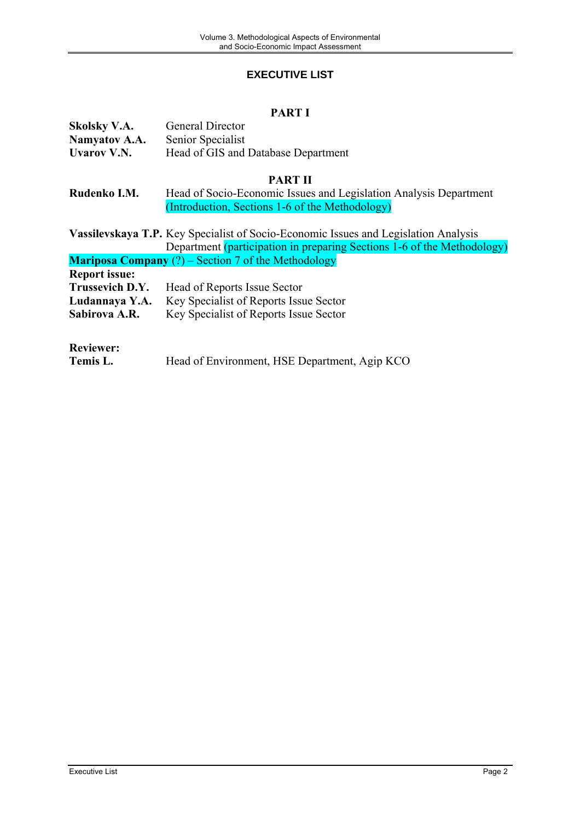## **EXECUTIVE LIST**

# **PART I**

<span id="page-1-0"></span>

| <b>Skolsky V.A.</b>  | <b>General Director</b>                                                                    |
|----------------------|--------------------------------------------------------------------------------------------|
| Namyatov A.A.        | Senior Specialist                                                                          |
| <b>Uvarov V.N.</b>   | Head of GIS and Database Department                                                        |
|                      |                                                                                            |
|                      | <b>PART II</b>                                                                             |
|                      |                                                                                            |
| Rudenko I.M.         | Head of Socio-Economic Issues and Legislation Analysis Department                          |
|                      | (Introduction, Sections 1-6 of the Methodology)                                            |
|                      |                                                                                            |
|                      | <b>Vassilevskaya T.P.</b> Key Specialist of Socio-Economic Issues and Legislation Analysis |
|                      | Department (participation in preparing Sections 1-6 of the Methodology)                    |
|                      |                                                                                            |
|                      | <b>Mariposa Company</b> $(?)$ – Section 7 of the Methodology                               |
| <b>Report issue:</b> |                                                                                            |
| Trussevich D.Y.      | Head of Reports Issue Sector                                                               |
| Ludannaya Y.A.       | Key Specialist of Reports Issue Sector                                                     |
| Sabirova A.R.        | Key Specialist of Reports Issue Sector                                                     |
|                      |                                                                                            |
|                      |                                                                                            |
| <b>Reviewer:</b>     |                                                                                            |
|                      |                                                                                            |
| Temis L.             | Head of Environment, HSE Department, Agip KCO                                              |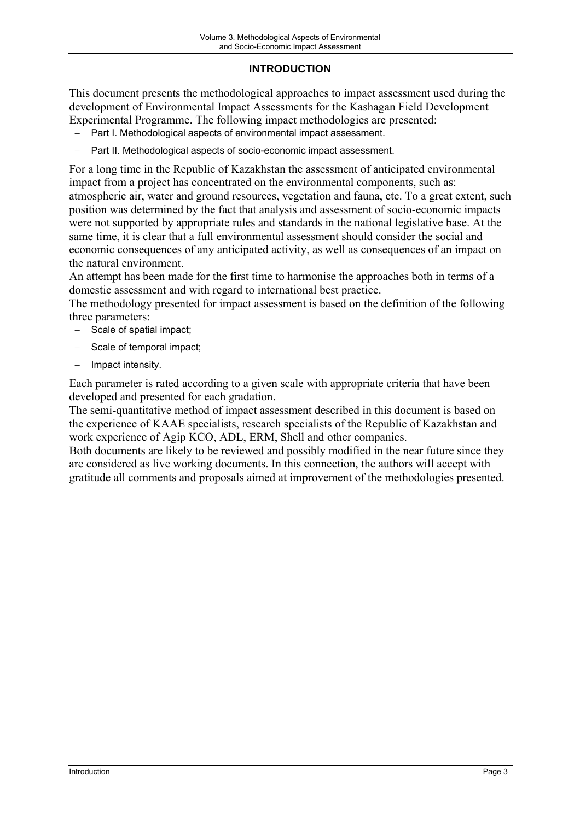## **INTRODUCTION**

<span id="page-2-0"></span>This document presents the methodological approaches to impact assessment used during the development of Environmental Impact Assessments for the Kashagan Field Development Experimental Programme. The following impact methodologies are presented:

- Part I. Methodological aspects of environmental impact assessment.
- Part II. Methodological aspects of socio-economic impact assessment.

For a long time in the Republic of Kazakhstan the assessment of anticipated environmental impact from a project has concentrated on the environmental components, such as: atmospheric air, water and ground resources, vegetation and fauna, etc. To a great extent, such position was determined by the fact that analysis and assessment of socio-economic impacts were not supported by appropriate rules and standards in the national legislative base. At the same time, it is clear that a full environmental assessment should consider the social and economic consequences of any anticipated activity, as well as consequences of an impact on the natural environment.

An attempt has been made for the first time to harmonise the approaches both in terms of a domestic assessment and with regard to international best practice.

The methodology presented for impact assessment is based on the definition of the following three parameters:

- Scale of spatial impact;
- Scale of temporal impact:
- − Impact intensity.

Each parameter is rated according to a given scale with appropriate criteria that have been developed and presented for each gradation.

The semi-quantitative method of impact assessment described in this document is based on the experience of KAAE specialists, research specialists of the Republic of Kazakhstan and work experience of Agip KCO, ADL, ERM, Shell and other companies.

Both documents are likely to be reviewed and possibly modified in the near future since they are considered as live working documents. In this connection, the authors will accept with gratitude all comments and proposals aimed at improvement of the methodologies presented.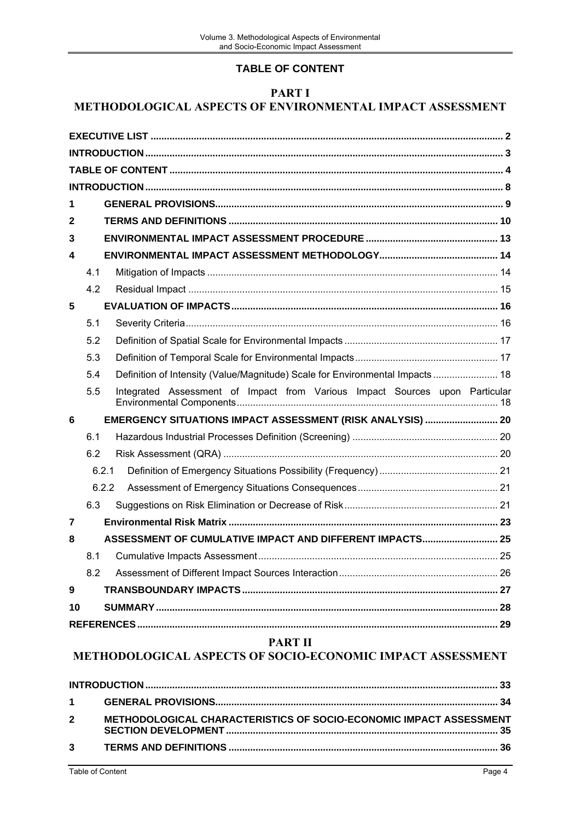# **TABLE OF CONTENT**

### **PART I**

# <span id="page-3-0"></span>**METHODOLOGICAL ASPECTS OF ENVIRONMENTAL IMPACT ASSESSMENT**

| 1  |     |       |                                                                               |  |
|----|-----|-------|-------------------------------------------------------------------------------|--|
| 2  |     |       |                                                                               |  |
| 3  |     |       |                                                                               |  |
| 4  |     |       |                                                                               |  |
|    | 4.1 |       |                                                                               |  |
|    | 4.2 |       |                                                                               |  |
| 5  |     |       |                                                                               |  |
|    | 5.1 |       |                                                                               |  |
|    | 5.2 |       |                                                                               |  |
|    | 5.3 |       |                                                                               |  |
|    | 5.4 |       | Definition of Intensity (Value/Magnitude) Scale for Environmental Impacts  18 |  |
|    |     |       |                                                                               |  |
|    | 5.5 |       | Integrated Assessment of Impact from Various Impact Sources upon Particular   |  |
| 6  |     |       | EMERGENCY SITUATIONS IMPACT ASSESSMENT (RISK ANALYSIS)  20                    |  |
|    | 6.1 |       |                                                                               |  |
|    | 6.2 |       |                                                                               |  |
|    |     | 6.2.1 |                                                                               |  |
|    |     | 6.2.2 |                                                                               |  |
|    | 6.3 |       |                                                                               |  |
| 7  |     |       |                                                                               |  |
| 8  |     |       | ASSESSMENT OF CUMULATIVE IMPACT AND DIFFERENT IMPACTS 25                      |  |
|    | 8.1 |       |                                                                               |  |
|    | 8.2 |       |                                                                               |  |
| 9  |     |       |                                                                               |  |
| 10 |     |       |                                                                               |  |

## **PART II**

# **METHODOLOGICAL ASPECTS OF SOCIO-ECONOMIC IMPACT ASSESSMENT**

| $2^{\circ}$ | METHODOLOGICAL CHARACTERISTICS OF SOCIO-ECONOMIC IMPACT ASSESSMENT |  |
|-------------|--------------------------------------------------------------------|--|
|             |                                                                    |  |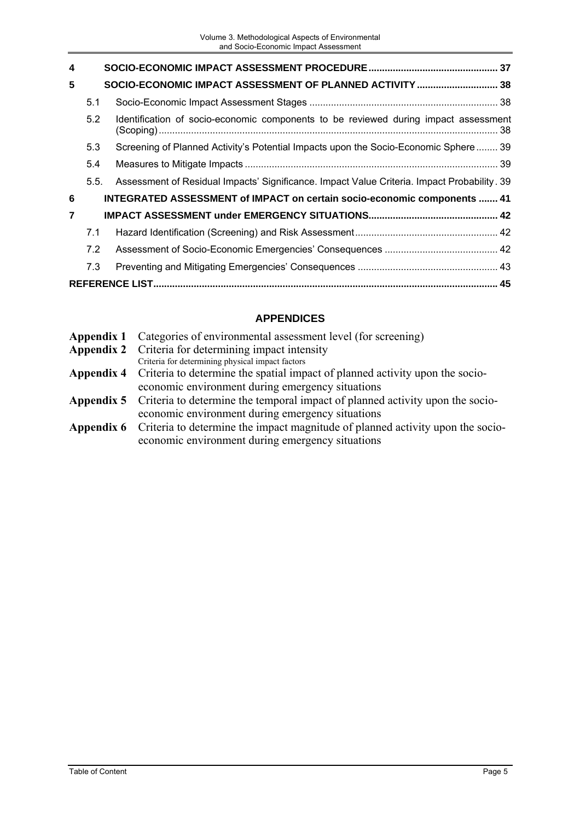| 4 |      |                                                                                             |     |
|---|------|---------------------------------------------------------------------------------------------|-----|
| 5 |      | SOCIO-ECONOMIC IMPACT ASSESSMENT OF PLANNED ACTIVITY  38                                    |     |
|   | 5.1  |                                                                                             |     |
|   | 5.2  | Identification of socio-economic components to be reviewed during impact assessment         | -38 |
|   | 5.3  | Screening of Planned Activity's Potential Impacts upon the Socio-Economic Sphere 39         |     |
|   | 5.4  |                                                                                             |     |
|   | 5.5. | Assessment of Residual Impacts' Significance. Impact Value Criteria. Impact Probability. 39 |     |
| 6 |      | <b>INTEGRATED ASSESSMENT of IMPACT on certain socio-economic components  41</b>             |     |
| 7 |      |                                                                                             |     |
|   | 7.1  |                                                                                             |     |
|   | 7.2  |                                                                                             |     |
|   | 7.3  |                                                                                             |     |
|   |      |                                                                                             |     |

# **APPENDICES**

| <b>Appendix 2</b> Criteria for determining impact intensity<br>Criteria for determining physical impact factors<br><b>Appendix 4</b> Criteria to determine the spatial impact of planned activity upon the socio-<br>economic environment during emergency situations<br><b>Appendix 5</b> Criteria to determine the temporal impact of planned activity upon the socio-<br>economic environment during emergency situations<br><b>Appendix 6</b> Criteria to determine the impact magnitude of planned activity upon the socio-<br>economic environment during emergency situations | <b>Appendix 1</b> Categories of environmental assessment level (for screening) |
|--------------------------------------------------------------------------------------------------------------------------------------------------------------------------------------------------------------------------------------------------------------------------------------------------------------------------------------------------------------------------------------------------------------------------------------------------------------------------------------------------------------------------------------------------------------------------------------|--------------------------------------------------------------------------------|
|                                                                                                                                                                                                                                                                                                                                                                                                                                                                                                                                                                                      |                                                                                |
|                                                                                                                                                                                                                                                                                                                                                                                                                                                                                                                                                                                      |                                                                                |
|                                                                                                                                                                                                                                                                                                                                                                                                                                                                                                                                                                                      |                                                                                |
|                                                                                                                                                                                                                                                                                                                                                                                                                                                                                                                                                                                      |                                                                                |
|                                                                                                                                                                                                                                                                                                                                                                                                                                                                                                                                                                                      |                                                                                |
|                                                                                                                                                                                                                                                                                                                                                                                                                                                                                                                                                                                      |                                                                                |
|                                                                                                                                                                                                                                                                                                                                                                                                                                                                                                                                                                                      |                                                                                |
|                                                                                                                                                                                                                                                                                                                                                                                                                                                                                                                                                                                      |                                                                                |
|                                                                                                                                                                                                                                                                                                                                                                                                                                                                                                                                                                                      |                                                                                |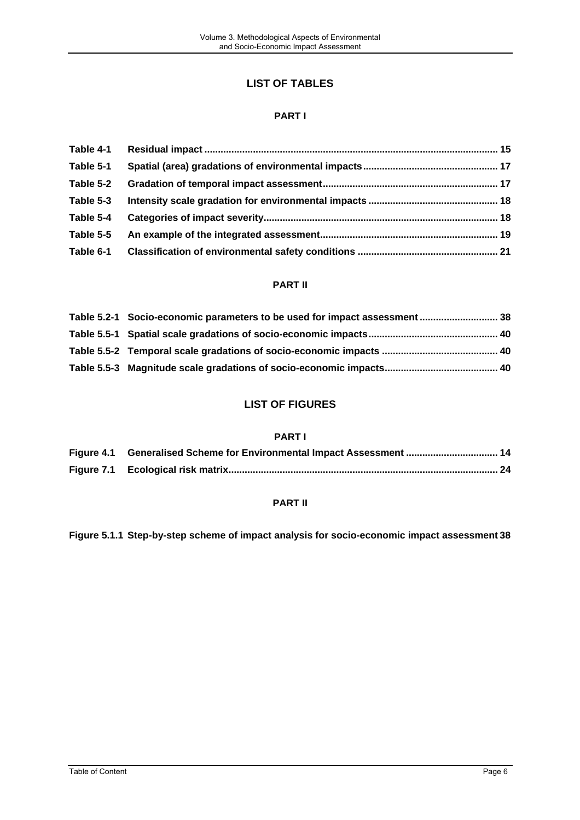# **LIST OF TABLES**

#### **PART I**

| Table 4-1 |  |
|-----------|--|
| Table 5-1 |  |
| Table 5-2 |  |
| Table 5-3 |  |
| Table 5-4 |  |
| Table 5-5 |  |
| Table 6-1 |  |

### **PART II**

| Table 5.2-1 Socio-economic parameters to be used for impact assessment  38 |  |
|----------------------------------------------------------------------------|--|
|                                                                            |  |
|                                                                            |  |
|                                                                            |  |

## **LIST OF FIGURES**

#### **PART I**

| Figure 4.1 Generalised Scheme for Environmental Impact Assessment  14 |  |
|-----------------------------------------------------------------------|--|
|                                                                       |  |

## **PART II**

**Figure 5.1.1 [Step-by-step scheme of impact analysis for socio-economic impact assessment](#page-37-0) 38**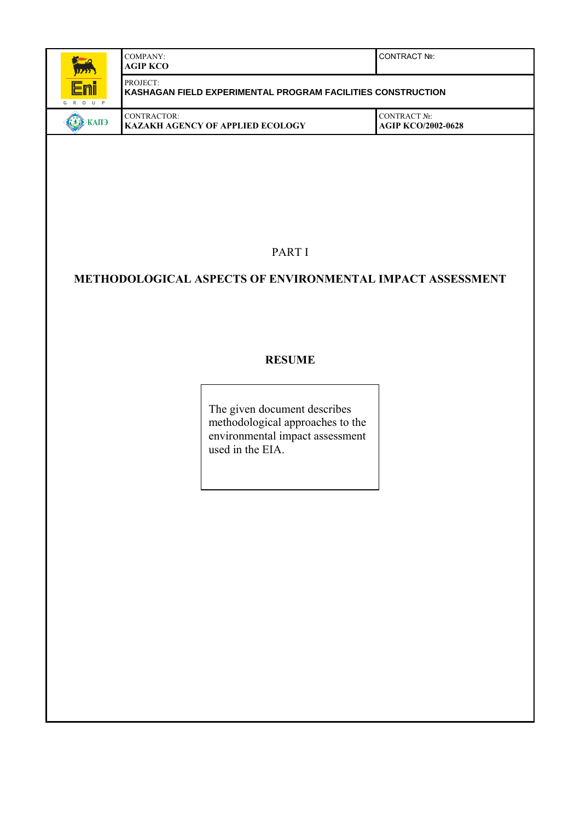| Romand<br>12223                | COMPANY:<br><b>AGIP KCO</b>                                               | I CONTRACT №:                             |
|--------------------------------|---------------------------------------------------------------------------|-------------------------------------------|
| <u>Enii</u><br>$0 \cup P$<br>R | PROJECT:<br>I KASHAGAN FIELD EXPERIMENTAL PROGRAM FACILITIES CONSTRUCTION |                                           |
| $\blacktriangle$ <b>KAID</b>   | CONTRACTOR:<br><b>I KAZAKH AGENCY OF APPLIED ECOLOGY</b>                  | CONTRACT No:<br><b>AGIP KCO/2002-0628</b> |

PART I

# **METHODOLOGICAL ASPECTS OF ENVIRONMENTAL IMPACT ASSESSMENT**

## **RESUME**

The given document describes methodological approaches to the environmental impact assessment used in the EIA.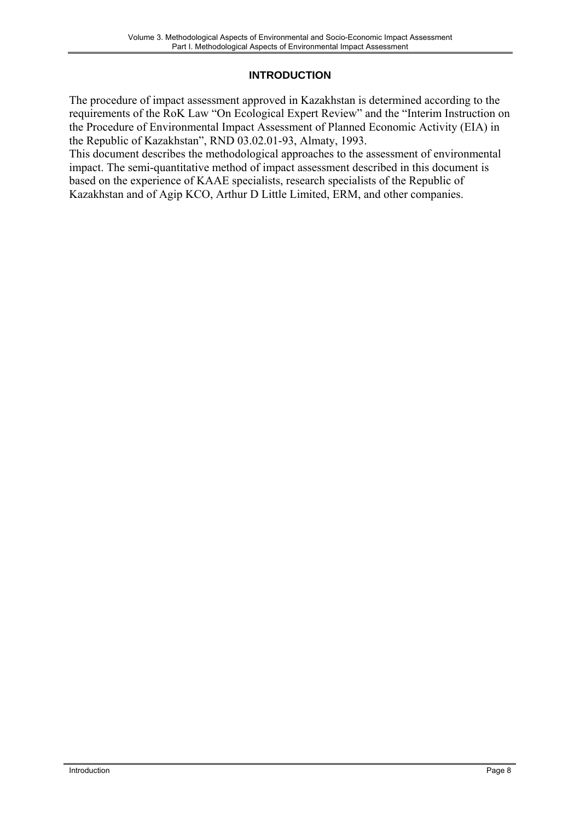## **INTRODUCTION**

<span id="page-7-0"></span>The procedure of impact assessment approved in Kazakhstan is determined according to the requirements of the RoK Law "On Ecological Expert Review" and the "Interim Instruction on the Procedure of Environmental Impact Assessment of Planned Economic Activity (EIA) in the Republic of Kazakhstan", RND 03.02.01-93, Almaty, 1993.

This document describes the methodological approaches to the assessment of environmental impact. The semi-quantitative method of impact assessment described in this document is based on the experience of KAAE specialists, research specialists of the Republic of Kazakhstan and of Agip KCO, Arthur D Little Limited, ERM, and other companies.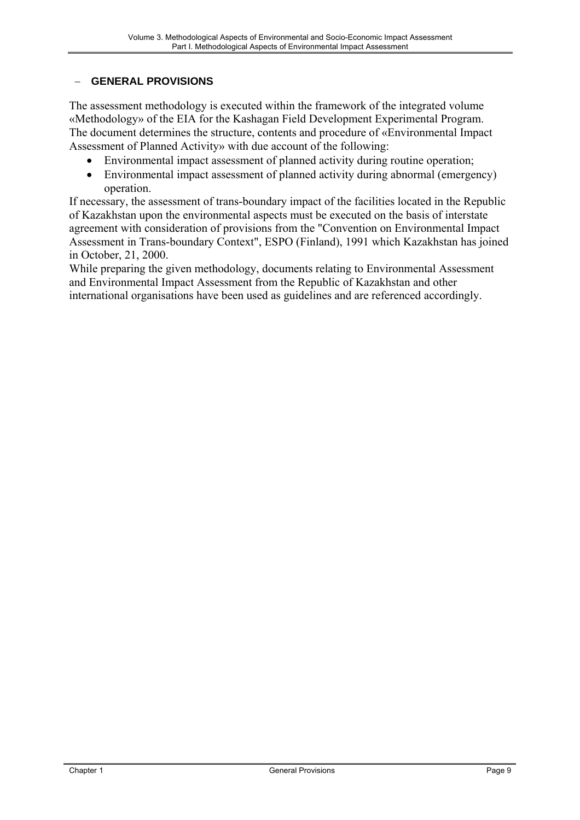## <span id="page-8-0"></span>− **GENERAL PROVISIONS**

The assessment methodology is executed within the framework of the integrated volume «Methodology» of the EIA for the Kashagan Field Development Experimental Program. The document determines the structure, contents and procedure of «Environmental Impact Assessment of Planned Activity» with due account of the following:

- Environmental impact assessment of planned activity during routine operation;
- Environmental impact assessment of planned activity during abnormal (emergency) operation.

If necessary, the assessment of trans-boundary impact of the facilities located in the Republic of Kazakhstan upon the environmental aspects must be executed on the basis of interstate agreement with consideration of provisions from the "Convention on Environmental Impact Assessment in Trans-boundary Context", ESPO (Finland), 1991 which Kazakhstan has joined in October, 21, 2000.

While preparing the given methodology, documents relating to Environmental Assessment and Environmental Impact Assessment from the Republic of Kazakhstan and other international organisations have been used as guidelines and are referenced accordingly.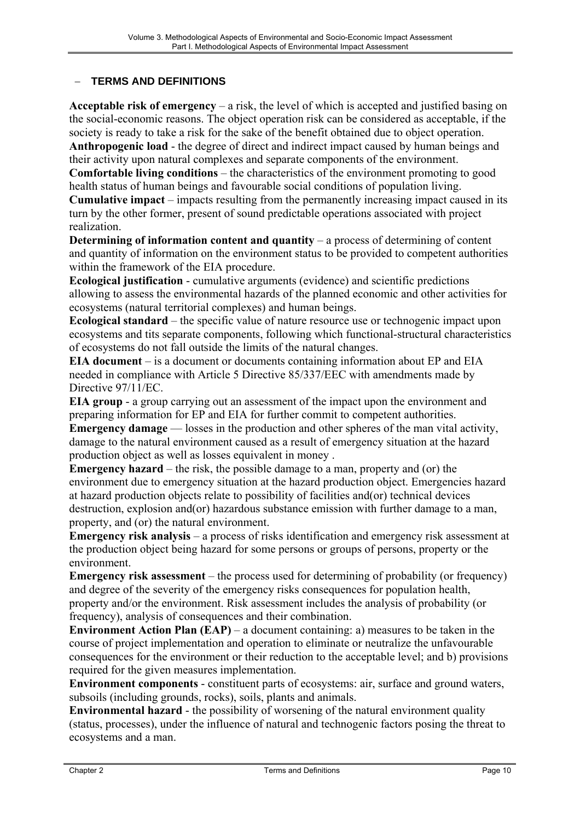## <span id="page-9-0"></span>− **TERMS AND DEFINITIONS**

**Acceptable risk of emergency** – a risk, the level of which is accepted and justified basing on the social-economic reasons. The object operation risk can be considered as acceptable, if the society is ready to take a risk for the sake of the benefit obtained due to object operation. **Anthropogenic load** - the degree of direct and indirect impact caused by human beings and their activity upon natural complexes and separate components of the environment. **Comfortable living conditions** – the characteristics of the environment promoting to good

health status of human beings and favourable social conditions of population living. **Cumulative impact** – impacts resulting from the permanently increasing impact caused in its turn by the other former, present of sound predictable operations associated with project realization.

**Determining of information content and quantity – a process of determining of content** and quantity of information on the environment status to be provided to competent authorities within the framework of the EIA procedure.

**Ecological justification** - cumulative arguments (evidence) and scientific predictions allowing to assess the environmental hazards of the planned economic and other activities for ecosystems (natural territorial complexes) and human beings.

**Ecological standard** – the specific value of nature resource use or technogenic impact upon ecosystems and tits separate components, following which functional-structural characteristics of ecosystems do not fall outside the limits of the natural changes.

**EIA document** – is a document or documents containing information about EP and EIA needed in compliance with Article 5 Directive 85/337/ЕЕС with amendments made by Directive 97/11/EC.

**EIA group** - a group carrying out an assessment of the impact upon the environment and preparing information for EP and EIA for further commit to competent authorities.

**Emergency damage** — losses in the production and other spheres of the man vital activity, damage to the natural environment caused as a result of emergency situation at the hazard production object as well as losses equivalent in money .

**Emergency hazard** – the risk, the possible damage to a man, property and (or) the environment due to emergency situation at the hazard production object. Emergencies hazard at hazard production objects relate to possibility of facilities and(or) technical devices destruction, explosion and(or) hazardous substance emission with further damage to a man, property, and (or) the natural environment.

**Emergency risk analysis** – a process of risks identification and emergency risk assessment at the production object being hazard for some persons or groups of persons, property or the environment.

**Emergency risk assessment** – the process used for determining of probability (or frequency) and degree of the severity of the emergency risks consequences for population health, property and/or the environment. Risk assessment includes the analysis of probability (or frequency), analysis of consequences and their combination.

**Environment Action Plan (EAP)** – a document containing: a) measures to be taken in the course of project implementation and operation to eliminate or neutralize the unfavourable consequences for the environment or their reduction to the acceptable level; and b) provisions required for the given measures implementation.

**Environment components** - constituent parts of ecosystems: air, surface and ground waters, subsoils (including grounds, rocks), soils, plants and animals.

**Environmental hazard** - the possibility of worsening of the natural environment quality (status, processes), under the influence of natural and technogenic factors posing the threat to ecosystems and a man.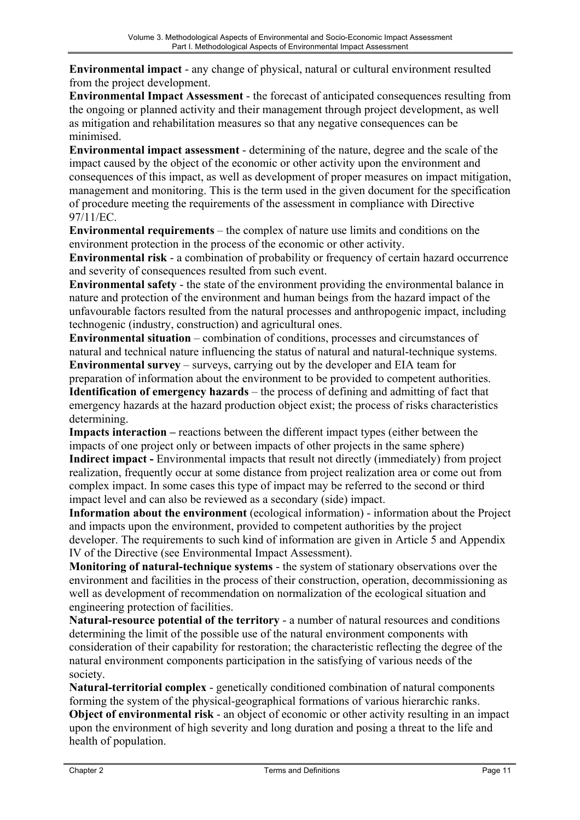**Environmental impact** - any change of physical, natural or cultural environment resulted from the project development.

**Environmental Impact Assessment** - the forecast of anticipated consequences resulting from the ongoing or planned activity and their management through project development, as well as mitigation and rehabilitation measures so that any negative consequences can be minimised.

**Environmental impact assessment** - determining of the nature, degree and the scale of the impact caused by the object of the economic or other activity upon the environment and consequences of this impact, as well as development of proper measures on impact mitigation, management and monitoring. This is the term used in the given document for the specification of procedure meeting the requirements of the assessment in compliance with Directive 97/11/ЕС.

**Environmental requirements** – the complex of nature use limits and conditions on the environment protection in the process of the economic or other activity.

**Environmental risk** - a combination of probability or frequency of certain hazard occurrence and severity of consequences resulted from such event.

**Environmental safety** - the state of the environment providing the environmental balance in nature and protection of the environment and human beings from the hazard impact of the unfavourable factors resulted from the natural processes and anthropogenic impact, including technogenic (industry, construction) and agricultural ones.

**Environmental situation** – combination of conditions, processes and circumstances of natural and technical nature influencing the status of natural and natural-technique systems. **Environmental survey** – surveys, carrying out by the developer and EIA team for

preparation of information about the environment to be provided to competent authorities. **Identification of emergency hazards** – the process of defining and admitting of fact that emergency hazards at the hazard production object exist; the process of risks characteristics determining.

**Impacts interaction** – reactions between the different impact types (either between the impacts of one project only or between impacts of other projects in the same sphere) **Indirect impact -** Environmental impacts that result not directly (immediately) from project realization, frequently occur at some distance from project realization area or come out from complex impact. In some cases this type of impact may be referred to the second or third impact level and can also be reviewed as a secondary (side) impact.

**Information about the environment** (ecological information) - information about the Project and impacts upon the environment, provided to competent authorities by the project developer. The requirements to such kind of information are given in Article 5 and Appendix IV of the Directive (see Environmental Impact Assessment).

**Monitoring of natural-technique systems** - the system of stationary observations over the environment and facilities in the process of their construction, operation, decommissioning as well as development of recommendation on normalization of the ecological situation and engineering protection of facilities.

**Natural-resource potential of the territory** - a number of natural resources and conditions determining the limit of the possible use of the natural environment components with consideration of their capability for restoration; the characteristic reflecting the degree of the natural environment components participation in the satisfying of various needs of the society.

**Natural-territorial complex** - genetically conditioned combination of natural components forming the system of the physical-geographical formations of various hierarchic ranks. **Object of environmental risk** - an object of economic or other activity resulting in an impact upon the environment of high severity and long duration and posing a threat to the life and health of population.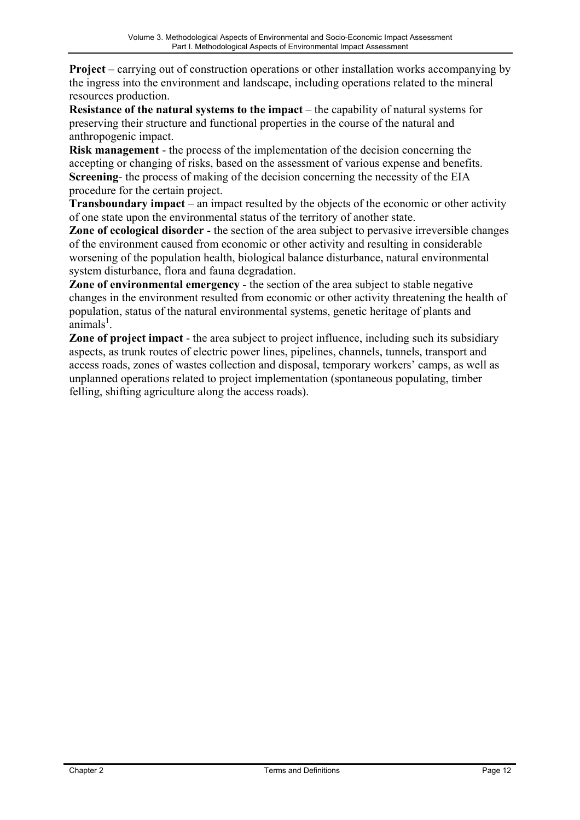**Project** – carrying out of construction operations or other installation works accompanying by the ingress into the environment and landscape, including operations related to the mineral resources production.

**Resistance of the natural systems to the impact** – the capability of natural systems for preserving their structure and functional properties in the course of the natural and anthropogenic impact.

**Risk management** - the process of the implementation of the decision concerning the accepting or changing of risks, based on the assessment of various expense and benefits. **Screening**- the process of making of the decision concerning the necessity of the EIA procedure for the certain project.

**Transboundary impact** – an impact resulted by the objects of the economic or other activity of one state upon the environmental status of the territory of another state.

**Zone of ecological disorder** - the section of the area subject to pervasive irreversible changes of the environment caused from economic or other activity and resulting in considerable worsening of the population health, biological balance disturbance, natural environmental system disturbance, flora and fauna degradation.

**Zone of environmental emergency** - the section of the area subject to stable negative changes in the environment resulted from economic or other activity threatening the health of population, status of the natural environmental systems, genetic heritage of plants and  $\frac{1}{2}$ animals<sup>1</sup>.

**Zone of project impact** - the area subject to project influence, including such its subsidiary aspects, as trunk routes of electric power lines, pipelines, channels, tunnels, transport and access roads, zones of wastes collection and disposal, temporary workers' camps, as well as unplanned operations related to project implementation (spontaneous populating, timber felling, shifting agriculture along the access roads).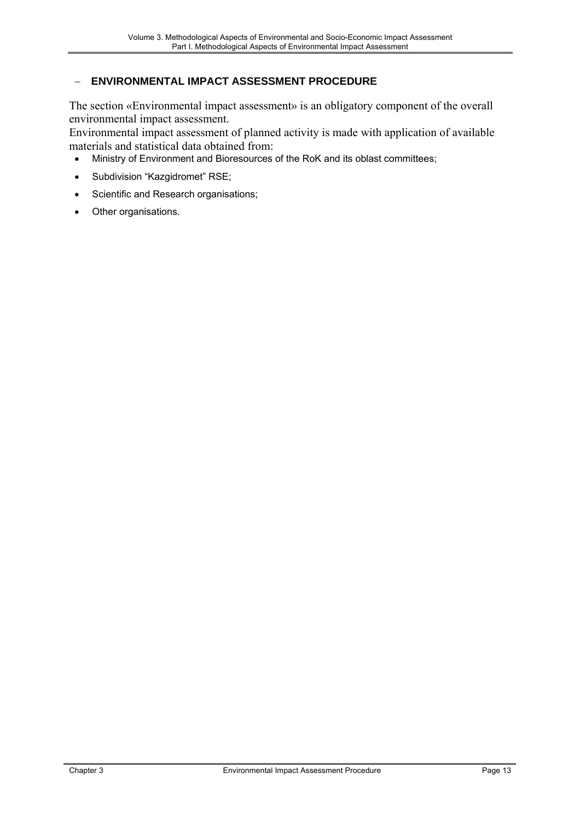## <span id="page-12-0"></span>− **ENVIRONMENTAL IMPACT ASSESSMENT PROCEDURE**

The section «Environmental impact assessment» is an obligatory component of the overall environmental impact assessment.

Environmental impact assessment of planned activity is made with application of available materials and statistical data obtained from:

- Ministry of Environment and Bioresources of the RoK and its oblast committees;
- Subdivision "Kazgidromet" RSE;
- Scientific and Research organisations;
- Other organisations.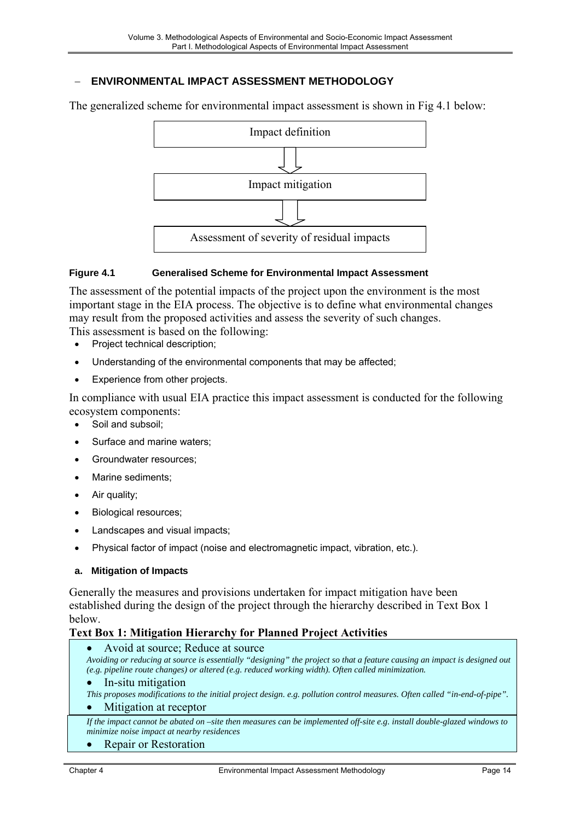## <span id="page-13-0"></span>− **ENVIRONMENTAL IMPACT ASSESSMENT METHODOLOGY**

The generalized scheme for environmental impact assessment is shown in Fig 4.1 below:



#### **Figure 4.1 Generalised Scheme for Environmental Impact Assessment**

The assessment of the potential impacts of the project upon the environment is the most important stage in the EIA process. The objective is to define what environmental changes may result from the proposed activities and assess the severity of such changes.

This assessment is based on the following:

- Project technical description;
- Understanding of the environmental components that may be affected;
- Experience from other projects.

In compliance with usual EIA practice this impact assessment is conducted for the following ecosystem components:

- Soil and subsoil;
- Surface and marine waters;
- Groundwater resources:
- Marine sediments:
- Air quality;
- Biological resources;
- Landscapes and visual impacts;
- Physical factor of impact (noise and electromagnetic impact, vibration, etc.).

#### **a. Mitigation of Impacts**

Generally the measures and provisions undertaken for impact mitigation have been established during the design of the project through the hierarchy described in Text Box 1 below.

#### **Text Box 1: Mitigation Hierarchy for Planned Project Activities**

• Avoid at source; Reduce at source

*Avoiding or reducing at source is essentially "designing" the project so that a feature causing an impact is designed out (e.g. pipeline route changes) or altered (e.g. reduced working width). Often called minimization.*

#### • In-situ mitigation

*This proposes modifications to the initial project design. e.g. pollution control measures. Often called "in-end-of-pipe".* 

#### Mitigation at receptor

*If the impact cannot be abated on –site then measures can be implemented off-site e.g. install double-glazed windows to minimize noise impact at nearby residences* 

#### **Repair or Restoration**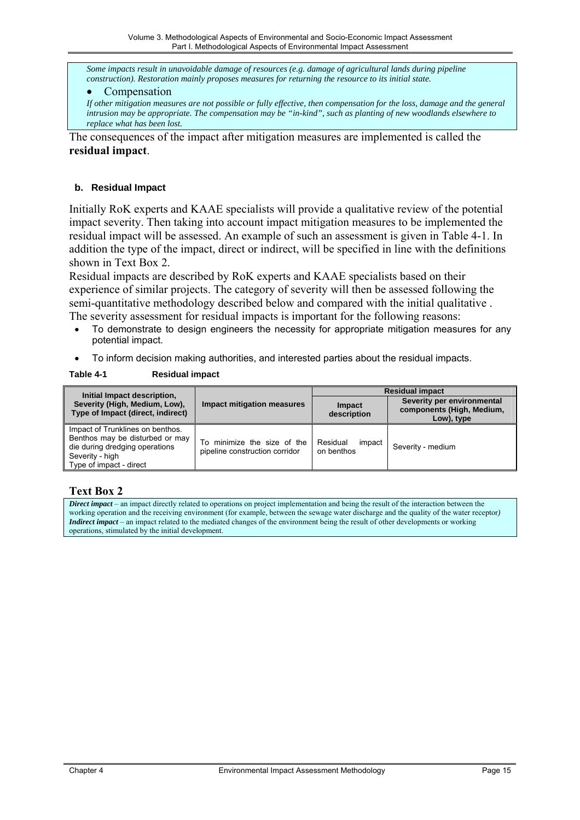<span id="page-14-0"></span>*Some impacts result in unavoidable damage of resources (e.g. damage of agricultural lands during pipeline construction). Restoration mainly proposes measures for returning the resource to its initial state.* 

#### **Compensation**

*If other mitigation measures are not possible or fully effective, then compensation for the loss, damage and the general intrusion may be appropriate. The compensation may be "in-kind", such as planting of new woodlands elsewhere to replace what has been lost.*

The consequences of the impact after mitigation measures are implemented is called the **residual impact**.

#### **b. Residual Impact**

Initially RoK experts and KAAE specialists will provide a qualitative review of the potential impact severity. Then taking into account impact mitigation measures to be implemented the residual impact will be assessed. An example of such an assessment is given in Table 4-1. In addition the type of the impact, direct or indirect, will be specified in line with the definitions shown in Text Box 2.

Residual impacts are described by RoK experts and KAAE specialists based on their experience of similar projects. The category of severity will then be assessed following the semi-quantitative methodology described below and compared with the initial qualitative . The severity assessment for residual impacts is important for the following reasons:

- To demonstrate to design engineers the necessity for appropriate mitigation measures for any
- potential impact. • To inform decision making authorities, and interested parties about the residual impacts.

#### **Table 4-1 Residual impact**

| Initial Impact description,                                                                                                                         |                                                               |                                  | <b>Residual impact</b>                                                |
|-----------------------------------------------------------------------------------------------------------------------------------------------------|---------------------------------------------------------------|----------------------------------|-----------------------------------------------------------------------|
| Severity (High, Medium, Low),<br>Type of Impact (direct, indirect)                                                                                  | <b>Impact mitigation measures</b>                             | <b>Impact</b><br>description     | Severity per environmental<br>components (High, Medium,<br>Low), type |
| Impact of Trunklines on benthos.<br>Benthos may be disturbed or may<br>die during dredging operations<br>Severity - high<br>Type of impact - direct | To minimize the size of the<br>pipeline construction corridor | Residual<br>impact<br>on benthos | Severity - medium                                                     |

#### **Text Box 2**

*Direct impact* – an impact directly related to operations on project implementation and being the result of the interaction between the working operation and the receiving environment (for example, between the sewage water discharge and the quality of the water receptor*) Indirect impact* – an impact related to the mediated changes of the environment being the result of other developments or working operations, stimulated by the initial development.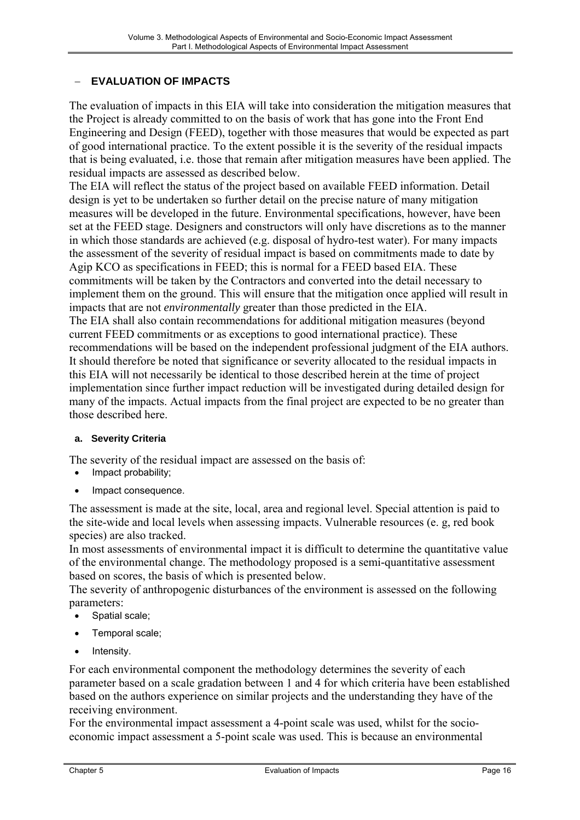## <span id="page-15-0"></span>− **EVALUATION OF IMPACTS**

The evaluation of impacts in this EIA will take into consideration the mitigation measures that the Project is already committed to on the basis of work that has gone into the Front End Engineering and Design (FEED), together with those measures that would be expected as part of good international practice. To the extent possible it is the severity of the residual impacts that is being evaluated, i.e. those that remain after mitigation measures have been applied. The residual impacts are assessed as described below.

The EIA will reflect the status of the project based on available FEED information. Detail design is yet to be undertaken so further detail on the precise nature of many mitigation measures will be developed in the future. Environmental specifications, however, have been set at the FEED stage. Designers and constructors will only have discretions as to the manner in which those standards are achieved (e.g. disposal of hydro-test water). For many impacts the assessment of the severity of residual impact is based on commitments made to date by Agip KCO as specifications in FEED; this is normal for a FEED based EIA. These commitments will be taken by the Contractors and converted into the detail necessary to implement them on the ground. This will ensure that the mitigation once applied will result in impacts that are not *environmentally* greater than those predicted in the EIA. The EIA shall also contain recommendations for additional mitigation measures (beyond current FEED commitments or as exceptions to good international practice). These recommendations will be based on the independent professional judgment of the EIA authors. It should therefore be noted that significance or severity allocated to the residual impacts in this EIA will not necessarily be identical to those described herein at the time of project implementation since further impact reduction will be investigated during detailed design for many of the impacts. Actual impacts from the final project are expected to be no greater than those described here.

#### **a. Severity Criteria**

The severity of the residual impact are assessed on the basis of:

- Impact probability;
- Impact consequence.

The assessment is made at the site, local, area and regional level. Special attention is paid to the site-wide and local levels when assessing impacts. Vulnerable resources (e. g, red book species) are also tracked.

In most assessments of environmental impact it is difficult to determine the quantitative value of the environmental change. The methodology proposed is a semi-quantitative assessment based on scores, the basis of which is presented below.

The severity of anthropogenic disturbances of the environment is assessed on the following parameters:

- Spatial scale;
- Temporal scale;
- Intensity.

For each environmental component the methodology determines the severity of each parameter based on a scale gradation between 1 and 4 for which criteria have been established based on the authors experience on similar projects and the understanding they have of the receiving environment.

For the environmental impact assessment a 4-point scale was used, whilst for the socioeconomic impact assessment a 5-point scale was used. This is because an environmental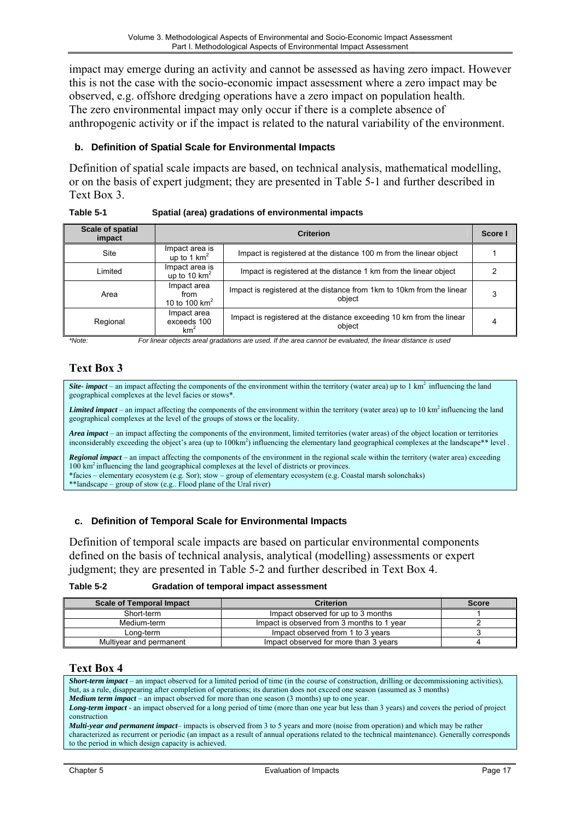<span id="page-16-0"></span>impact may emerge during an activity and cannot be assessed as having zero impact. However this is not the case with the socio-economic impact assessment where a zero impact may be observed, e.g. offshore dredging operations have a zero impact on population health. The zero environmental impact may only occur if there is a complete absence of anthropogenic activity or if the impact is related to the natural variability of the environment.

#### **b. Definition of Spatial Scale for Environmental Impacts**

Definition of spatial scale impacts are based, on technical analysis, mathematical modelling, or on the basis of expert judgment; they are presented in Table 5-1 and further described in Text Box 3.

| Table 5-1 | Spatial (area) gradations of environmental impacts |
|-----------|----------------------------------------------------|
|           |                                                    |

| Scale of spatial<br>impact | <b>Criterion</b>                              |                                                                                 |  |  |  |
|----------------------------|-----------------------------------------------|---------------------------------------------------------------------------------|--|--|--|
| Site                       | Impact area is<br>up to 1 $km^2$              | Impact is registered at the distance 100 m from the linear object               |  |  |  |
| Limited                    | Impact area is<br>up to 10 $km^2$             | Impact is registered at the distance 1 km from the linear object                |  |  |  |
| Area                       | Impact area<br>from<br>10 to 100 $km^2$       | Impact is registered at the distance from 1km to 10km from the linear<br>object |  |  |  |
| Regional                   | Impact area<br>exceeds 100<br>km <sup>2</sup> | Impact is registered at the distance exceeding 10 km from the linear<br>obiect  |  |  |  |

*\*Note: For linear objects areal gradations are used. If the area cannot be evaluated, the linear distance is used* 

# **Text Box 3**

*Site- impact* – an impact affecting the components of the environment within the territory (water area) up to  $1 \text{ km}^2$  influencing the land geographical complexes at the level facies or stows\*.

*Limited impact* – an impact affecting the components of the environment within the territory (water area) up to 10 km<sup>2</sup> influencing the land geographical complexes at the level of the groups of stows or the locality.

*Area impact* – an impact affecting the components of the environment, limited territories (water areas) of the object location or territories inconsiderably exceeding the object's area (up to 100km<sup>2</sup>) influencing the elementary land geographical complexes at the landscape\*\* level .

*Regional impact* – an impact affecting the components of the environment in the regional scale within the territory (water area) exceeding 100 km2 influencing the land geographical complexes at the level of districts or provinces. \*facies – elementary ecosystem (e.g. Sor); stow – group of elementary ecosystem (e.g. Coastal marsh solonchaks)

\*\*landscape – group of stow (e.g.. Flood plane of the Ural river)

#### **c. Definition of Temporal Scale for Environmental Impacts**

Definition of temporal scale impacts are based on particular environmental components defined on the basis of technical analysis, analytical (modelling) assessments or expert judgment; they are presented in Table 5-2 and further described in Text Box 4.

| Table 5-2<br><b>Gradation of temporal impact assessment</b> |  |
|-------------------------------------------------------------|--|
|-------------------------------------------------------------|--|

| <b>Scale of Temporal Impact</b> | <b>Criterion</b>                           | <b>Score</b> |
|---------------------------------|--------------------------------------------|--------------|
| Short-term                      | Impact observed for up to 3 months         |              |
| Medium-term                     | Impact is observed from 3 months to 1 year |              |
| Long-term                       | Impact observed from 1 to 3 years          |              |
| Multiyear and permanent         | Impact observed for more than 3 years      |              |

#### **Text Box 4**

*Short-term impact* – an impact observed for a limited period of time (in the course of construction, drilling or decommissioning activities), but, as a rule, disappearing after completion of operations; its duration does not exceed one season (assumed as 3 months) *Medium term impact* – an impact observed for more than one season (3 months) up to one year. *Long-term impact* - an impact observed for a long period of time (more than one year but less than 3 years) and covers the period of project construction *Multi-year and permanent impact*– impacts is observed from 3 to 5 years and more (noise from operation) and which may be rather characterized as recurrent or periodic (an impact as a result of annual operations related to the technical maintenance). Generally corresponds to the period in which design capacity is achieved.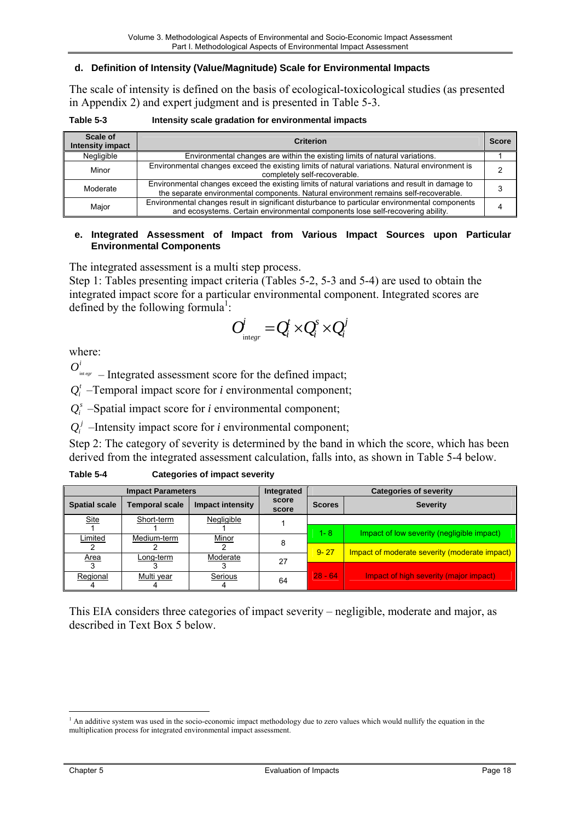#### <span id="page-17-0"></span>**d. Definition of Intensity (Value/Magnitude) Scale for Environmental Impacts**

The scale of intensity is defined on the basis of ecological-toxicological studies (as presented in Appendix 2) and expert judgment and is presented in Table 5-3.

| Scale of<br><b>Intensity impact</b> | <b>Criterion</b>                                                                                                                                                                       | <b>Score</b> |
|-------------------------------------|----------------------------------------------------------------------------------------------------------------------------------------------------------------------------------------|--------------|
| Negligible                          | Environmental changes are within the existing limits of natural variations.                                                                                                            |              |
| Minor                               | Environmental changes exceed the existing limits of natural variations. Natural environment is<br>completely self-recoverable.                                                         |              |
| Moderate                            | Environmental changes exceed the existing limits of natural variations and result in damage to<br>the separate environmental components. Natural environment remains self-recoverable. |              |
| Major                               | Environmental changes result in significant disturbance to particular environmental components<br>and ecosystems. Certain environmental components lose self-recovering ability.       |              |

#### **e. Integrated Assessment of Impact from Various Impact Sources upon Particular Environmental Components**

The integrated assessment is a multi step process.

Step 1: Tables presenting impact criteria (Tables 5-2, 5-3 and 5-4) are used to obtain the integrated impact score for a particular environmental component. Integrated scores are defined by the following formula<sup>1</sup>:

$$
O_{\mathrm{int}_{\text{e}yr}}^{i} = Q_{i}^{t} \times Q_{i}^{s} \times Q_{i}^{j}
$$

where:

 $O_{\text{int}_{\text{egr}}}^i$  – Integrated assessment score for the defined impact;

 $Q<sup>t</sup>$  –Temporal impact score for *i* environmental component;

 $Q_i^s$  –Spatial impact score for *i* environmental component;

 $Q_i^j$  –Intensity impact score for *i* environmental component;

Step 2: The category of severity is determined by the band in which the score, which has been derived from the integrated assessment calculation, falls into, as shown in Table 5-4 below.

| Table 5-4 | <b>Categories of impact severity</b> |
|-----------|--------------------------------------|
|-----------|--------------------------------------|

|                      | <b>Impact Parameters</b> | Integrated              |                | <b>Categories of severity</b> |                                               |
|----------------------|--------------------------|-------------------------|----------------|-------------------------------|-----------------------------------------------|
| <b>Spatial scale</b> | <b>Temporal scale</b>    | <b>Impact intensity</b> | score<br>score | <b>Scores</b>                 | <b>Severity</b>                               |
| <b>Site</b>          | Short-term               | Negligible              |                |                               |                                               |
|                      |                          |                         |                | $1 - 8$                       | Impact of low severity (negligible impact)    |
| Limited              | Medium-term              | Minor                   |                |                               |                                               |
|                      |                          |                         |                | $9 - 27$                      | Impact of moderate severity (moderate impact) |
| <b>Area</b>          | ∟ong-term                | Moderate                | 27             |                               |                                               |
|                      |                          |                         |                |                               |                                               |
| Regional             | Multi year               | Serious                 | 64             | $28 - 64$                     | Impact of high severity (major impact)        |
|                      |                          |                         |                |                               |                                               |

This EIA considers three categories of impact severity – negligible, moderate and major, as described in Text Box 5 below.

 $\overline{a}$ 

<span id="page-17-1"></span><sup>&</sup>lt;sup>1</sup> An additive system was used in the socio-economic impact methodology due to zero values which would nullify the equation in the multiplication process for integrated environmental impact assessment.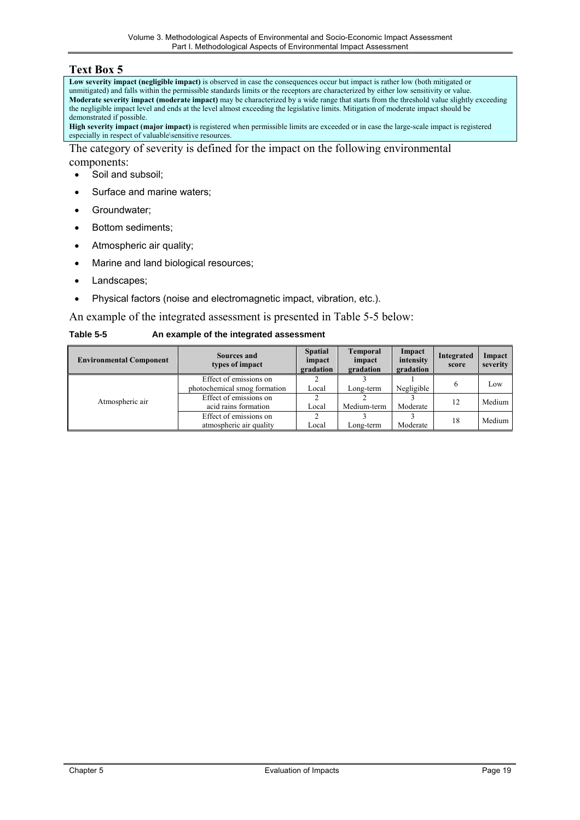#### <span id="page-18-0"></span>**Text Box 5**

**Low severity impact (negligible impact)** is observed in case the consequences occur but impact is rather low (both mitigated or unmitigated) and falls within the permissible standards limits or the receptors are characterized by either low sensitivity or value. **Moderate severity impact (moderate impact)** may be characterized by a wide range that starts from the threshold value slightly exceeding the negligible impact level and ends at the level almost exceeding the legislative limits. Mitigation of moderate impact should be demonstrated if possible.

**High severity impact (major impact)** is registered when permissible limits are exceeded or in case the large-scale impact is registered especially in respect of valuable\sensitive resources.

The category of severity is defined for the impact on the following environmental components:

- Soil and subsoil;
- Surface and marine waters;
- Groundwater;
- Bottom sediments:
- Atmospheric air quality;
- Marine and land biological resources;
- Landscapes;
- Physical factors (noise and electromagnetic impact, vibration, etc.).

An example of the integrated assessment is presented in Table 5-5 below:

| Table 5-5 | An example of the integrated assessment |
|-----------|-----------------------------------------|
|           |                                         |

| <b>Environmental Component</b> | Sources and<br>types of impact                         | <b>Spatial</b><br>impact<br>gradation | <b>Temporal</b><br>impact<br>gradation | Impact<br>intensity<br>gradation | Integrated<br>score | Impact<br>severity |
|--------------------------------|--------------------------------------------------------|---------------------------------------|----------------------------------------|----------------------------------|---------------------|--------------------|
|                                | Effect of emissions on<br>photochemical smog formation | Local                                 | Long-term                              | Negligible                       | <sub>(</sub>        | Low                |
| Atmospheric air                | Effect of emissions on<br>acid rains formation         | Local                                 | Medium-term                            | Moderate                         | 12                  | Medium             |
|                                | Effect of emissions on<br>atmospheric air quality      | Local                                 | Long-term                              | Moderate                         | 18                  | Medium             |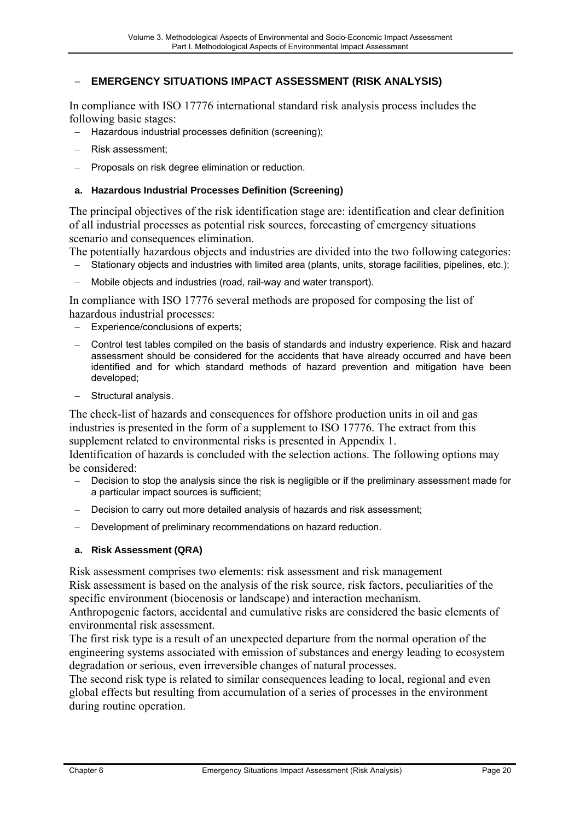## <span id="page-19-0"></span>− **EMERGENCY SITUATIONS IMPACT ASSESSMENT (RISK ANALYSIS)**

In compliance with ISO 17776 international standard risk analysis process includes the following basic stages:

- − Hazardous industrial processes definition (screening);
- − Risk assessment;
- Proposals on risk degree elimination or reduction.

#### **a. Hazardous Industrial Processes Definition (Screening)**

The principal objectives of the risk identification stage are: identification and clear definition of all industrial processes as potential risk sources, forecasting of emergency situations scenario and consequences elimination.

The potentially hazardous objects and industries are divided into the two following categories:

- Stationary objects and industries with limited area (plants, units, storage facilities, pipelines, etc.);
- − Mobile objects and industries (road, rail-way and water transport).

In compliance with ISO 17776 several methods are proposed for composing the list of hazardous industrial processes:

- Experience/conclusions of experts:
- − Control test tables compiled on the basis of standards and industry experience. Risk and hazard assessment should be considered for the accidents that have already occurred and have been identified and for which standard methods of hazard prevention and mitigation have been developed;
- Structural analysis.

The check-list of hazards and consequences for offshore production units in oil and gas industries is presented in the form of a supplement to ISO 17776. The extract from this supplement related to environmental risks is presented in Appendix 1.

Identification of hazards is concluded with the selection actions. The following options may be considered:

- Decision to stop the analysis since the risk is negligible or if the preliminary assessment made for a particular impact sources is sufficient;
- − Decision to carry out more detailed analysis of hazards and risk assessment;
- Development of preliminary recommendations on hazard reduction.

#### **a. Risk Assessment (QRA)**

Risk assessment comprises two elements: risk assessment and risk management

Risk assessment is based on the analysis of the risk source, risk factors, peculiarities of the specific environment (biocenosis or landscape) and interaction mechanism.

Anthropogenic factors, accidental and cumulative risks are considered the basic elements of environmental risk assessment.

The first risk type is a result of an unexpected departure from the normal operation of the engineering systems associated with emission of substances and energy leading to ecosystem degradation or serious, even irreversible changes of natural processes.

The second risk type is related to similar consequences leading to local, regional and even global effects but resulting from accumulation of a series of processes in the environment during routine operation.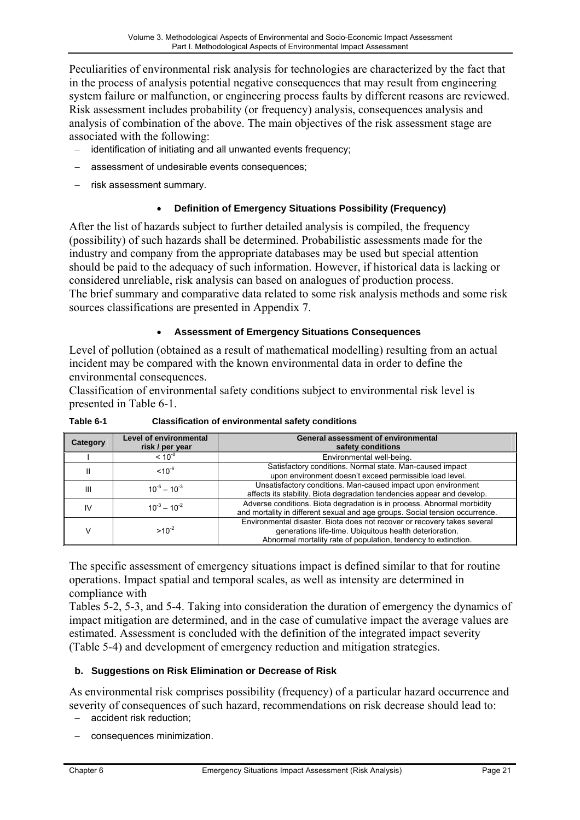<span id="page-20-0"></span>Peculiarities of environmental risk analysis for technologies are characterized by the fact that in the process of analysis potential negative consequences that may result from engineering system failure or malfunction, or engineering process faults by different reasons are reviewed. Risk assessment includes probability (or frequency) analysis, consequences analysis and analysis of combination of the above. The main objectives of the risk assessment stage are associated with the following:

- − identification of initiating and all unwanted events frequency;
- assessment of undesirable events consequences;
- − risk assessment summary.

## • **Definition of Emergency Situations Possibility (Frequency)**

After the list of hazards subject to further detailed analysis is compiled, the frequency (possibility) of such hazards shall be determined. Probabilistic assessments made for the industry and company from the appropriate databases may be used but special attention should be paid to the adequacy of such information. However, if historical data is lacking or considered unreliable, risk analysis can based on analogues of production process. The brief summary and comparative data related to some risk analysis methods and some risk sources classifications are presented in Appendix 7.

## • **Assessment of Emergency Situations Consequences**

Level of pollution (obtained as a result of mathematical modelling) resulting from an actual incident may be compared with the known environmental data in order to define the environmental consequences.

Classification of environmental safety conditions subject to environmental risk level is presented in Table 6-1.

| Category | Level of environmental<br>risk / per year | <b>General assessment of environmental</b><br>safety conditions                                                                                                                                       |
|----------|-------------------------------------------|-------------------------------------------------------------------------------------------------------------------------------------------------------------------------------------------------------|
|          | $< 10^{-8}$                               | Environmental well-being.                                                                                                                                                                             |
|          | $10^{-6}$                                 | Satisfactory conditions. Normal state. Man-caused impact<br>upon environment doesn't exceed permissible load level.                                                                                   |
| Ш        | $10^{-5} - 10^{-3}$                       | Unsatisfactory conditions. Man-caused impact upon environment<br>affects its stability. Biota degradation tendencies appear and develop.                                                              |
| IV       | $10^{-3} - 10^{-2}$                       | Adverse conditions. Biota degradation is in process. Abnormal morbidity<br>and mortality in different sexual and age groups. Social tension occurrence.                                               |
|          | $>10^{-2}$                                | Environmental disaster. Biota does not recover or recovery takes several<br>generations life-time. Ubiquitous health deterioration.<br>Abnormal mortality rate of population, tendency to extinction. |

**Table 6-1 Classification of environmental safety conditions**

The specific assessment of emergency situations impact is defined similar to that for routine operations. Impact spatial and temporal scales, as well as intensity are determined in compliance with

Tables 5-2, 5-3, and 5-4. Taking into consideration the duration of emergency the dynamics of impact mitigation are determined, and in the case of cumulative impact the average values are estimated. Assessment is concluded with the definition of the integrated impact severity (Table 5-4) and development of emergency reduction and mitigation strategies.

## **b. Suggestions on Risk Elimination or Decrease of Risk**

As environmental risk comprises possibility (frequency) of a particular hazard occurrence and severity of consequences of such hazard, recommendations on risk decrease should lead to:

- accident risk reduction;
- − consequences minimization.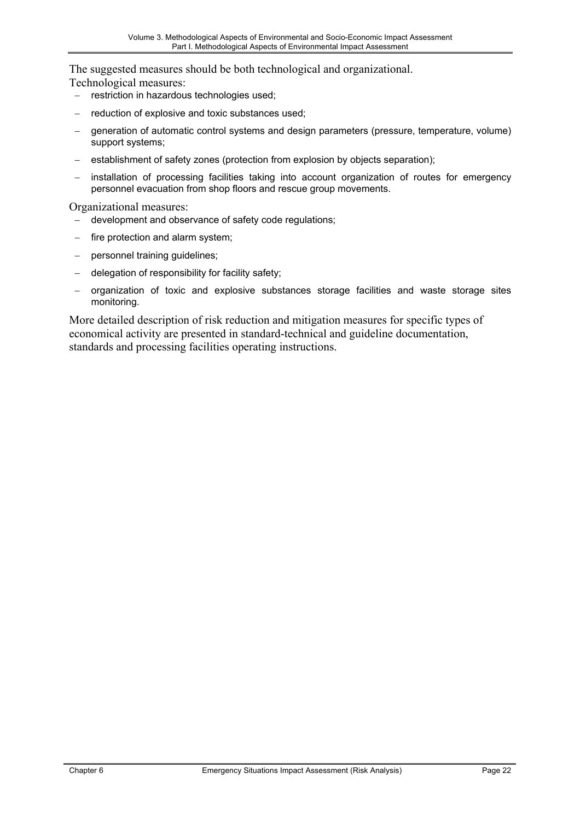The suggested measures should be both technological and organizational.

Technological measures:

- − restriction in hazardous technologies used;
- − reduction of explosive and toxic substances used;
- − generation of automatic control systems and design parameters (pressure, temperature, volume) support systems;
- establishment of safety zones (protection from explosion by objects separation);
- installation of processing facilities taking into account organization of routes for emergency personnel evacuation from shop floors and rescue group movements.

Organizational measures:

- − development and observance of safety code regulations;
- fire protection and alarm system;
- personnel training guidelines;
- delegation of responsibility for facility safety;
- − organization of toxic and explosive substances storage facilities and waste storage sites monitoring.

More detailed description of risk reduction and mitigation measures for specific types of economical activity are presented in standard-technical and guideline documentation, standards and processing facilities operating instructions.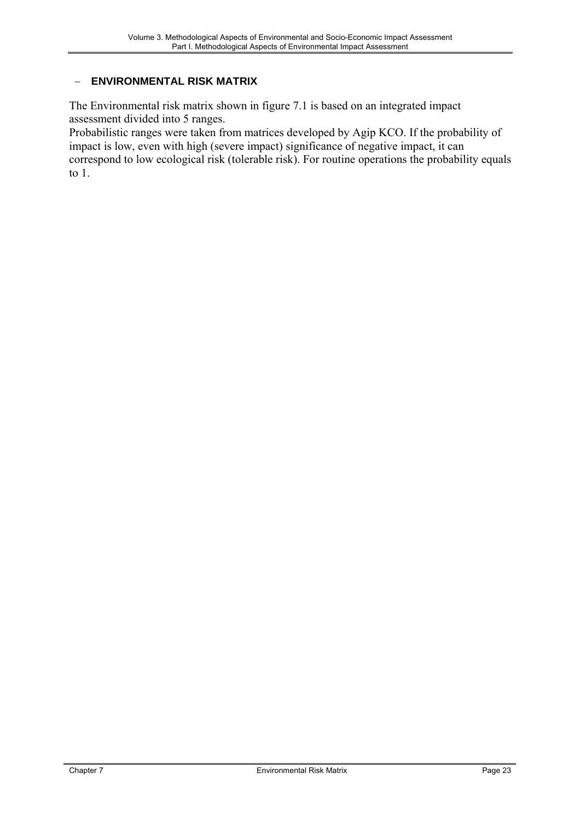## <span id="page-22-0"></span>− **ENVIRONMENTAL RISK MATRIX**

The Environmental risk matrix shown in figure 7.1 is based on an integrated impact assessment divided into 5 ranges.

Probabilistic ranges were taken from matrices developed by Agip KCO. If the probability of impact is low, even with high (severe impact) significance of negative impact, it can correspond to low ecological risk (tolerable risk). For routine operations the probability equals to 1.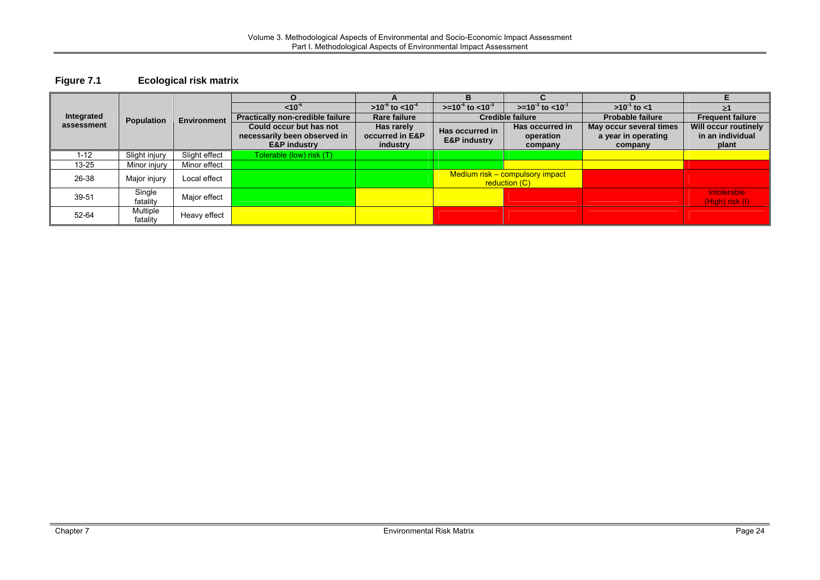#### **Figure 7.1 Ecological risk matrix**

<span id="page-23-0"></span>

|            |                      |                    |                                                         |                                 | R                                          |                                                  | D                                              |                                                 |
|------------|----------------------|--------------------|---------------------------------------------------------|---------------------------------|--------------------------------------------|--------------------------------------------------|------------------------------------------------|-------------------------------------------------|
|            |                      |                    | $< 10^{-6}$                                             | $>10^{-6}$ to <10 <sup>-4</sup> | $> = 10^{-4}$ to $< 10^{-3}$               | $> = 10^{-3}$ to <10 <sup>-1</sup>               | $>10^{-1}$ to <1                               |                                                 |
| Integrated | Population           | <b>Environment</b> | <b>Practically non-credible failure</b>                 | <b>Rare failure</b>             |                                            | <b>Credible failure</b>                          | <b>Probable failure</b>                        | <b>Frequent failure</b>                         |
| assessment |                      |                    | Could occur but has not<br>necessarily been observed in | Has rarely<br>occurred in E&P   | Has occurred in<br><b>E&amp;P industry</b> | Has occurred in<br>operation                     | May occur several times<br>a year in operating | <b>Will occur routinely</b><br>in an individual |
|            |                      |                    | <b>E&amp;P industry</b>                                 | industry                        |                                            | company                                          | company                                        | plant                                           |
| $1 - 12$   | Slight injury        | Slight effect      | Tolerable (low) risk (T) '                              |                                 |                                            |                                                  |                                                |                                                 |
| $13 - 25$  | Minor injury         | Minor effect       |                                                         |                                 |                                            |                                                  |                                                |                                                 |
| 26-38      | Major injury         | Local effect       |                                                         |                                 |                                            | Medium risk - compulsory impact<br>reduction (C) |                                                |                                                 |
| 39-51      | Single<br>fatality   | Major effect       |                                                         |                                 |                                            |                                                  |                                                | Intolerable<br>$(High)$ risk $(I)$              |
| 52-64      | Multiple<br>fatality | Heavy effect       |                                                         |                                 |                                            |                                                  |                                                |                                                 |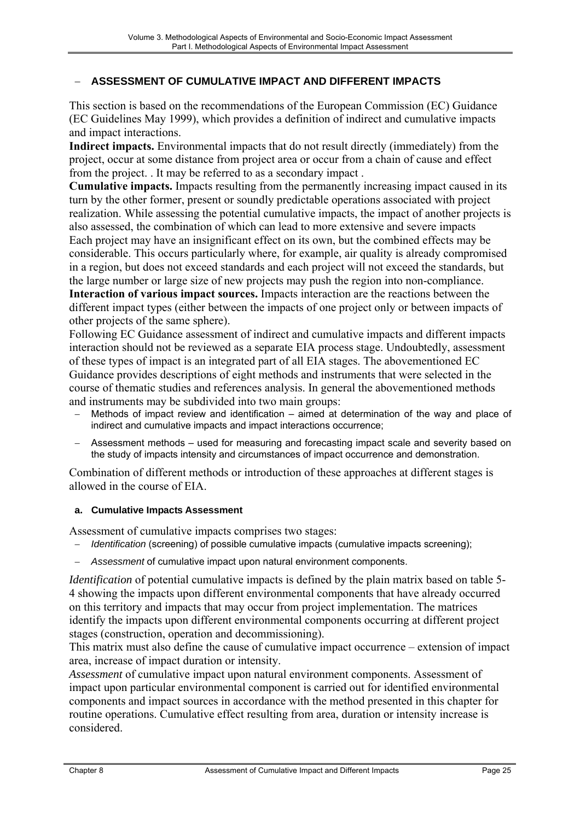## <span id="page-24-0"></span>− **ASSESSMENT OF CUMULATIVE IMPACT AND DIFFERENT IMPACTS**

This section is based on the recommendations of the European Commission (EC) Guidance (EC Guidelines May 1999), which provides a definition of indirect and cumulative impacts and impact interactions.

**Indirect impacts.** Environmental impacts that do not result directly (immediately) from the project, occur at some distance from project area or occur from a chain of cause and effect from the project. . It may be referred to as a secondary impact .

**Cumulative impacts.** Impacts resulting from the permanently increasing impact caused in its turn by the other former, present or soundly predictable operations associated with project realization. While assessing the potential cumulative impacts, the impact of another projects is also assessed, the combination of which can lead to more extensive and severe impacts Each project may have an insignificant effect on its own, but the combined effects may be considerable. This occurs particularly where, for example, air quality is already compromised in a region, but does not exceed standards and each project will not exceed the standards, but the large number or large size of new projects may push the region into non-compliance.

**Interaction of various impact sources.** Impacts interaction are the reactions between the different impact types (either between the impacts of one project only or between impacts of other projects of the same sphere).

Following EC Guidance assessment of indirect and cumulative impacts and different impacts interaction should not be reviewed as a separate EIA process stage. Undoubtedly, assessment of these types of impact is an integrated part of all EIA stages. The abovementioned EC Guidance provides descriptions of eight methods and instruments that were selected in the course of thematic studies and references analysis. In general the abovementioned methods and instruments may be subdivided into two main groups:

- Methods of impact review and identification aimed at determination of the way and place of indirect and cumulative impacts and impact interactions occurrence;
- Assessment methods used for measuring and forecasting impact scale and severity based on the study of impacts intensity and circumstances of impact occurrence and demonstration.

Combination of different methods or introduction of these approaches at different stages is allowed in the course of EIA.

#### **a. Cumulative Impacts Assessment**

Assessment of cumulative impacts comprises two stages:

- *Identification* (screening) of possible cumulative impacts (cumulative impacts screening);
- − *Assessment* of cumulative impact upon natural environment components.

*Identification* of potential cumulative impacts is defined by the plain matrix based on table 5- 4 showing the impacts upon different environmental components that have already occurred on this territory and impacts that may occur from project implementation. The matrices identify the impacts upon different environmental components occurring at different project stages (construction, operation and decommissioning).

This matrix must also define the cause of cumulative impact occurrence – extension of impact area, increase of impact duration or intensity.

*Assessment* of cumulative impact upon natural environment components. Assessment of impact upon particular environmental component is carried out for identified environmental components and impact sources in accordance with the method presented in this chapter for routine operations. Cumulative effect resulting from area, duration or intensity increase is considered.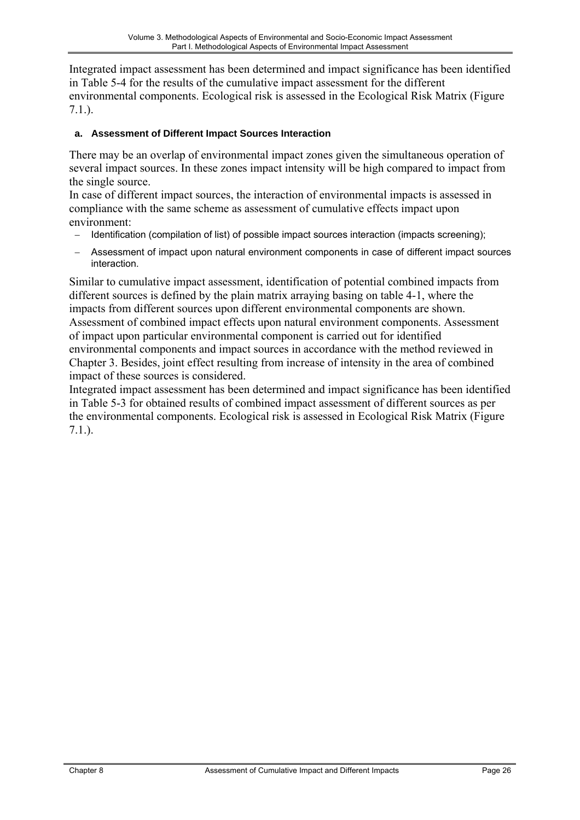<span id="page-25-0"></span>Integrated impact assessment has been determined and impact significance has been identified in Table 5-4 for the results of the cumulative impact assessment for the different environmental components. Ecological risk is assessed in the Ecological Risk Matrix (Figure 7.1.).

## **a. Assessment of Different Impact Sources Interaction**

There may be an overlap of environmental impact zones given the simultaneous operation of several impact sources. In these zones impact intensity will be high compared to impact from the single source.

In case of different impact sources, the interaction of environmental impacts is assessed in compliance with the same scheme as assessment of cumulative effects impact upon environment:

- − Identification (compilation of list) of possible impact sources interaction (impacts screening);
- − Assessment of impact upon natural environment components in case of different impact sources interaction.

Similar to cumulative impact assessment, identification of potential combined impacts from different sources is defined by the plain matrix arraying basing on table 4-1, where the impacts from different sources upon different environmental components are shown. Assessment of combined impact effects upon natural environment components. Assessment of impact upon particular environmental component is carried out for identified environmental components and impact sources in accordance with the method reviewed in Chapter 3. Besides, joint effect resulting from increase of intensity in the area of combined impact of these sources is considered.

Integrated impact assessment has been determined and impact significance has been identified in Table 5-3 for obtained results of combined impact assessment of different sources as per the environmental components. Ecological risk is assessed in Ecological Risk Matrix (Figure 7.1.).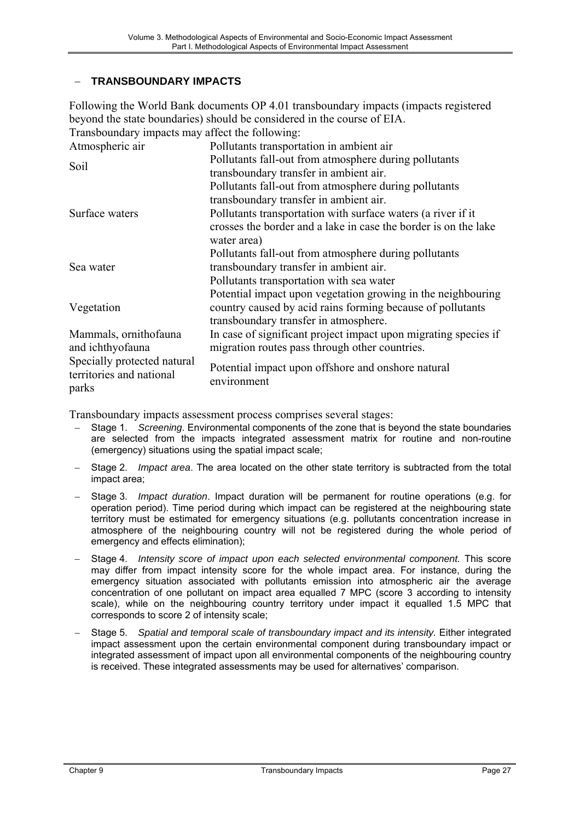### <span id="page-26-0"></span>− **TRANSBOUNDARY IMPACTS**

Following the World Bank documents OP 4.01 transboundary impacts (impacts registered beyond the state boundaries) should be considered in the course of EIA. Transboundary impacts may affect the following:

| Atmospheric air                                                  | Pollutants transportation in ambient air                                       |
|------------------------------------------------------------------|--------------------------------------------------------------------------------|
| Soil                                                             | Pollutants fall-out from atmosphere during pollutants                          |
|                                                                  | transboundary transfer in ambient air.                                         |
|                                                                  | Pollutants fall-out from atmosphere during pollutants                          |
|                                                                  | transboundary transfer in ambient air.                                         |
| Surface waters                                                   | Pollutants transportation with surface waters (a river if it                   |
|                                                                  | crosses the border and a lake in case the border is on the lake<br>water area) |
|                                                                  | Pollutants fall-out from atmosphere during pollutants                          |
| Sea water                                                        | transboundary transfer in ambient air.                                         |
|                                                                  | Pollutants transportation with sea water                                       |
|                                                                  | Potential impact upon vegetation growing in the neighbouring                   |
| Vegetation                                                       | country caused by acid rains forming because of pollutants                     |
|                                                                  | transboundary transfer in atmosphere.                                          |
| Mammals, ornithofauna                                            | In case of significant project impact upon migrating species if                |
| and ichthyofauna                                                 | migration routes pass through other countries.                                 |
| Specially protected natural<br>territories and national<br>parks | Potential impact upon offshore and onshore natural<br>environment              |

Transboundary impacts assessment process comprises several stages:

- − Stage 1. *Screening*. Environmental components of the zone that is beyond the state boundaries are selected from the impacts integrated assessment matrix for routine and non-routine (emergency) situations using the spatial impact scale;
- − Stage 2. *Impact area*. The area located on the other state territory is subtracted from the total impact area;
- − Stage 3. *Impact duration*. Impact duration will be permanent for routine operations (e.g. for operation period). Time period during which impact can be registered at the neighbouring state territory must be estimated for emergency situations (e.g. pollutants concentration increase in atmosphere of the neighbouring country will not be registered during the whole period of emergency and effects elimination);
- Stage 4. *Intensity score of impact upon each selected environmental component.* This score may differ from impact intensity score for the whole impact area. For instance, during the emergency situation associated with pollutants emission into atmospheric air the average concentration of one pollutant on impact area equalled 7 MPC (score 3 according to intensity scale), while on the neighbouring country territory under impact it equalled 1.5 MPC that corresponds to score 2 of intensity scale;
- Stage 5. Spatial and temporal scale of transboundary impact and its intensity. Either integrated impact assessment upon the certain environmental component during transboundary impact or integrated assessment of impact upon all environmental components of the neighbouring country is received. These integrated assessments may be used for alternatives' comparison.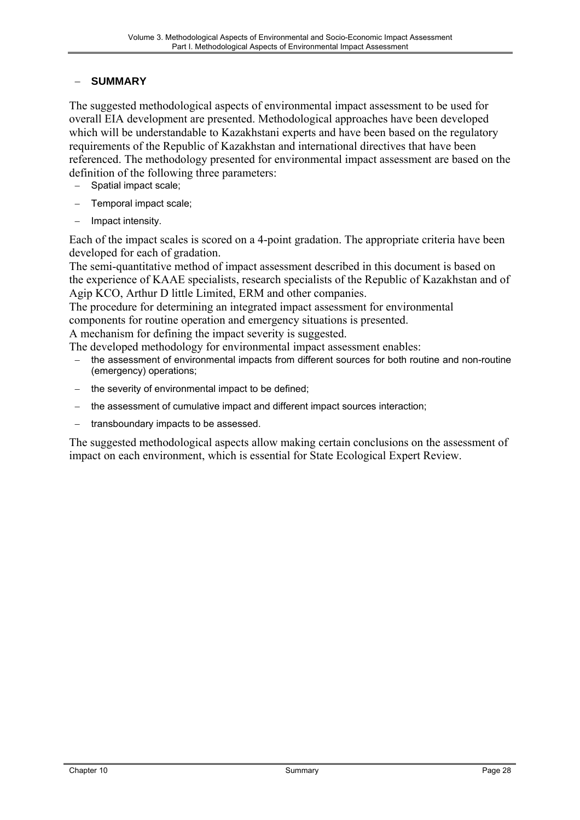## <span id="page-27-0"></span>− **SUMMARY**

The suggested methodological aspects of environmental impact assessment to be used for overall EIA development are presented. Methodological approaches have been developed which will be understandable to Kazakhstani experts and have been based on the regulatory requirements of the Republic of Kazakhstan and international directives that have been referenced. The methodology presented for environmental impact assessment are based on the definition of the following three parameters:

- − Spatial impact scale;
- Temporal impact scale;
- − Impact intensity.

Each of the impact scales is scored on a 4-point gradation. The appropriate criteria have been developed for each of gradation.

The semi-quantitative method of impact assessment described in this document is based on the experience of KAAE specialists, research specialists of the Republic of Kazakhstan and of Agip KCO, Arthur D little Limited, ERM and other companies.

The procedure for determining an integrated impact assessment for environmental components for routine operation and emergency situations is presented.

A mechanism for defining the impact severity is suggested.

The developed methodology for environmental impact assessment enables:

- the assessment of environmental impacts from different sources for both routine and non-routine (emergency) operations;
- the severity of environmental impact to be defined;
- the assessment of cumulative impact and different impact sources interaction;
- − transboundary impacts to be assessed.

The suggested methodological aspects allow making certain conclusions on the assessment of impact on each environment, which is essential for State Ecological Expert Review.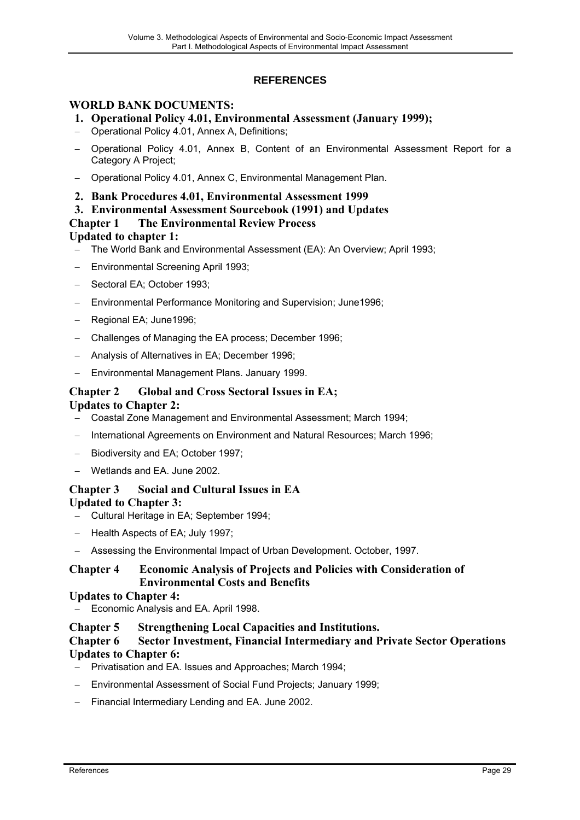## **REFERENCES**

## <span id="page-28-0"></span>**WORLD BANK DOCUMENTS:**

- **1. Operational Policy 4.01, Environmental Assessment (January 1999);**
- − Operational Policy 4.01, Annex A, Definitions;
- − Operational Policy 4.01, Annex B, Content of an Environmental Assessment Report for a Category A Project;
- − Operational Policy 4.01, Annex С, Environmental Management Plan.
- **2. Bank Procedures 4.01, Environmental Assessment 1999**
- **3. Environmental Assessment Sourcebook (1991) and Updates**

#### **Chapter 1 The Environmental Review Process**

#### **Updated to chapter 1:**

- − The World Bank and Environmental Assessment (EA): An Overview; April 1993;
- − Environmental Screening April 1993;
- − Sectoral EA; October 1993;
- − Environmental Performance Monitoring and Supervision; June1996;
- − Regional EA; June1996;
- − Challenges of Managing the EA process; December 1996;
- − Analysis of Alternatives in EA; December 1996;
- − Environmental Management Plans. January 1999.

## **Chapter 2 Global and Cross Sectoral Issues in EA;**

#### **Updates to Chapter 2:**

- − Coastal Zone Management and Environmental Assessment; March 1994;
- − International Agreements on Environment and Natural Resources; March 1996;
- Biodiversity and EA; October 1997;
- − Wetlands and EA. June 2002.

### **Chapter 3 Social and Cultural Issues in EA Updated to Chapter 3:**

- − Cultural Heritage in EA; September 1994;
- − Health Aspects of EA; July 1997;
- − Assessing the Environmental Impact of Urban Development. October, 1997.

### **Chapter 4 Economic Analysis of Projects and Policies with Consideration of Environmental Costs and Benefits**

#### **Updates to Chapter 4:**

Economic Analysis and EA. April 1998.

#### **Chapter 5 Strengthening Local Capacities and Institutions.**

### **Chapter 6 Sector Investment, Financial Intermediary and Private Sector Operations Updates to Chapter 6:**

- − Privatisation and EA. Issues and Approaches; March 1994;
- − Environmental Assessment of Social Fund Projects; January 1999;
- − Financial Intermediary Lending and EA. June 2002.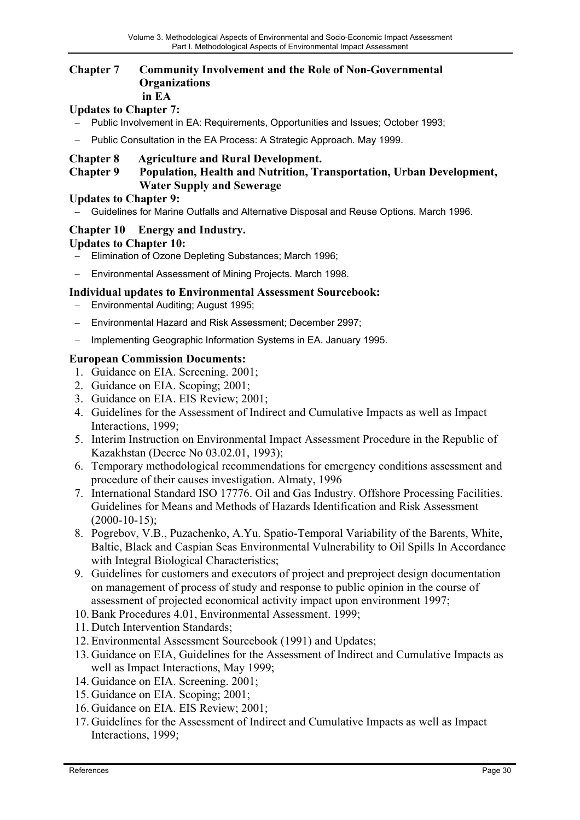#### **Chapter 7 Community Involvement and the Role of Non-Governmental Organizations in EA**

## **Updates to Chapter 7:**

- − Public Involvement in EA: Requirements, Opportunities and Issues; October 1993;
- − Public Consultation in the EA Process: A Strategic Approach. May 1999.

## **Chapter 8 Agriculture and Rural Development.**

### **Chapter 9 Population, Health and Nutrition, Transportation, Urban Development, Water Supply and Sewerage**

#### **Updates to Chapter 9:**

− Guidelines for Marine Outfalls and Alternative Disposal and Reuse Options. March 1996.

## **Chapter 10 Energy and Industry.**

## **Updates to Chapter 10:**

- − Elimination of Ozone Depleting Substances; March 1996;
- − Environmental Assessment of Mining Projects. March 1998.

### **Individual updates to Environmental Assessment Sourcebook:**

- − Environmental Auditing; August 1995;
- Environmental Hazard and Risk Assessment; December 2997;
- − Implementing Geographic Information Systems in EA. January 1995.

### **European Commission Documents:**

- 1. Guidance on EIA. Screening. 2001;
- 2. Guidance on EIA. Scoping; 2001;
- 3. Guidance on EIA. EIS Review; 2001;
- 4. Guidelines for the Assessment of Indirect and Cumulative Impacts as well as Impact Interactions, 1999;
- 5. Interim Instruction on Environmental Impact Assessment Procedure in the Republic of Kazakhstan (Decree No 03.02.01, 1993);
- 6. Temporary methodological recommendations for emergency conditions assessment and procedure of their causes investigation. Almaty, 1996
- 7. International Standard ISO 17776. Oil and Gas Industry. Offshore Processing Facilities. Guidelines for Means and Methods of Hazards Identification and Risk Assessment  $(2000-10-15)$ ;
- 8. Pogrebov, V.B., Puzachenko, A.Yu. Spatio-Temporal Variability of the Barents, White, Baltic, Black and Caspian Seas Environmental Vulnerability to Oil Spills In Accordance with Integral Biological Characteristics;
- 9. Guidelines for customers and executors of project and preproject design documentation on management of process of study and response to public opinion in the course of assessment of projected economical activity impact upon environment 1997;
- 10. Bank Procedures 4.01, Environmental Assessment. 1999;
- 11. Dutch Intervention Standards;
- 12. Environmental Assessment Sourcebook (1991) and Updates;
- 13. Guidance on EIA, Guidelines for the Assessment of Indirect and Cumulative Impacts as well as Impact Interactions, May 1999;
- 14. Guidance on EIA. Screening. 2001;
- 15. Guidance on EIA. Scoping; 2001;
- 16. Guidance on EIA. EIS Review; 2001;
- 17. Guidelines for the Assessment of Indirect and Cumulative Impacts as well as Impact Interactions, 1999;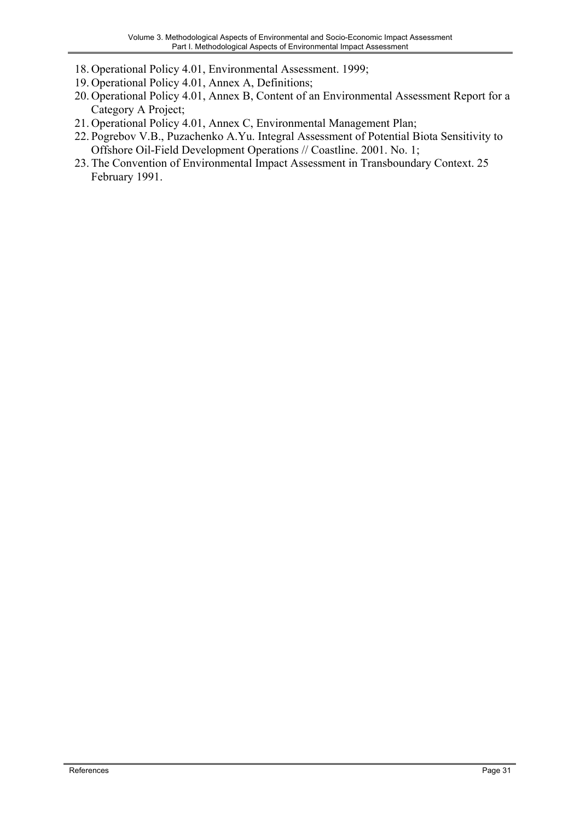- 18. Operational Policy 4.01, Environmental Assessment. 1999;
- 19. Operational Policy 4.01, Annex A, Definitions;
- 20. Operational Policy 4.01, Annex B, Content of an Environmental Assessment Report for a Category A Project;
- 21. Operational Policy 4.01, Annex С, Environmental Management Plan;
- 22. Pogrebov V.B., Puzachenko A.Yu. Integral Assessment of Potential Biota Sensitivity to Offshore Oil-Field Development Operations // Coastline. 2001. No. 1;
- 23. The Convention of Environmental Impact Assessment in Transboundary Context. 25 February 1991.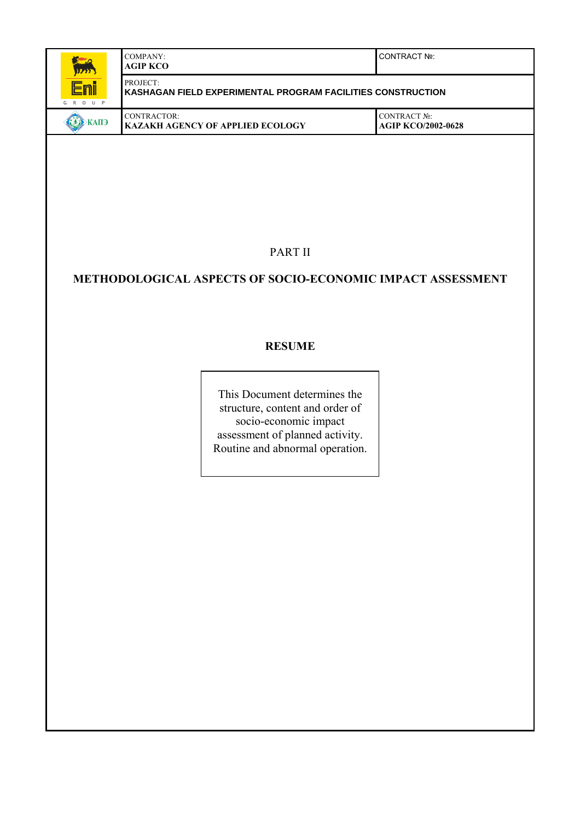| <b>Representative</b><br><b>BEAR</b> | COMPANY:<br><b>AGIP KCO</b>                                             | <b>CONTRACT Nº:</b>                       |
|--------------------------------------|-------------------------------------------------------------------------|-------------------------------------------|
| <u>Eni</u><br>G R O U P              | PROJECT:<br>KASHAGAN FIELD EXPERIMENTAL PROGRAM FACILITIES CONSTRUCTION |                                           |
| <b>KAIT</b>                          | CONTRACTOR:<br><b>KAZAKH AGENCY OF APPLIED ECOLOGY</b>                  | CONTRACT No:<br><b>AGIP KCO/2002-0628</b> |

PART II

## **METHODOLOGICAL ASPECTS OF SOCIO-ECONOMIC IMPACT ASSESSMENT**

## **RESUME**

This Document determines the structure, content and order of socio-economic impact assessment of planned activity. Routine and abnormal operation.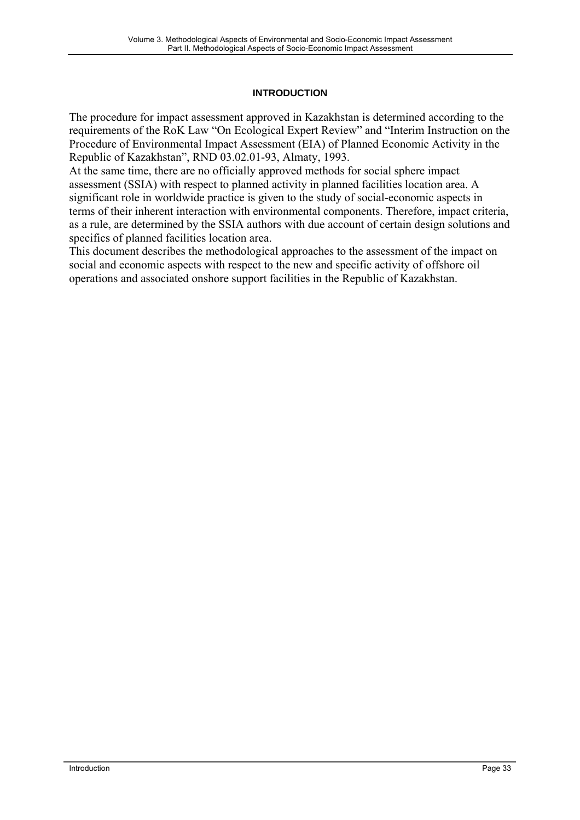#### **INTRODUCTION**

<span id="page-32-0"></span>The procedure for impact assessment approved in Kazakhstan is determined according to the requirements of the RoK Law "On Ecological Expert Review" and "Interim Instruction on the Procedure of Environmental Impact Assessment (EIA) of Planned Economic Activity in the Republic of Kazakhstan", RND 03.02.01-93, Almaty, 1993.

At the same time, there are no officially approved methods for social sphere impact assessment (SSIA) with respect to planned activity in planned facilities location area. A significant role in worldwide practice is given to the study of social-economic aspects in terms of their inherent interaction with environmental components. Therefore, impact criteria, as a rule, are determined by the SSIA authors with due account of certain design solutions and specifics of planned facilities location area.

This document describes the methodological approaches to the assessment of the impact on social and economic aspects with respect to the new and specific activity of offshore oil operations and associated onshore support facilities in the Republic of Kazakhstan.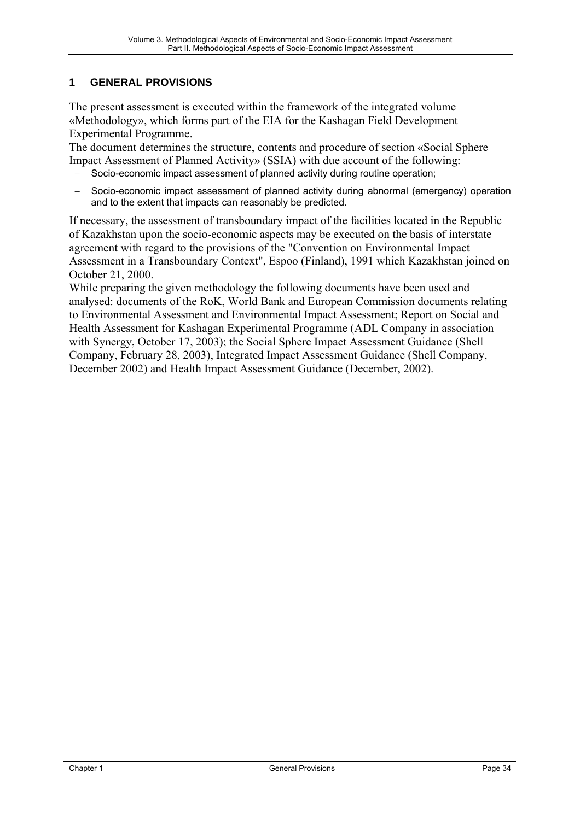## <span id="page-33-0"></span>**1 GENERAL PROVISIONS**

The present assessment is executed within the framework of the integrated volume «Methodology», which forms part of the EIA for the Kashagan Field Development Experimental Programme.

The document determines the structure, contents and procedure of section «Social Sphere Impact Assessment of Planned Activity» (SSIA) with due account of the following:

- Socio-economic impact assessment of planned activity during routine operation;
- − Socio-economic impact assessment of planned activity during abnormal (emergency) operation and to the extent that impacts can reasonably be predicted.

If necessary, the assessment of transboundary impact of the facilities located in the Republic of Kazakhstan upon the socio-economic aspects may be executed on the basis of interstate agreement with regard to the provisions of the "Convention on Environmental Impact Assessment in a Transboundary Context", Espoo (Finland), 1991 which Kazakhstan joined on October 21, 2000.

While preparing the given methodology the following documents have been used and analysed: documents of the RoK, World Bank and European Commission documents relating to Environmental Assessment and Environmental Impact Assessment; Report on Social and Health Assessment for Kashagan Experimental Programme (ADL Company in association with Synergy, October 17, 2003); the Social Sphere Impact Assessment Guidance (Shell Company, February 28, 2003), Integrated Impact Assessment Guidance (Shell Company, December 2002) and Health Impact Assessment Guidance (December, 2002).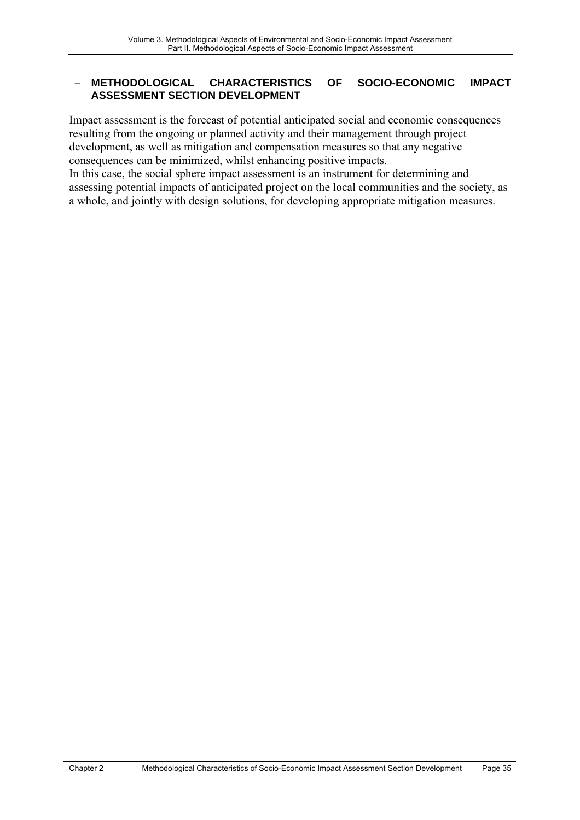### <span id="page-34-0"></span>− **METHODOLOGICAL CHARACTERISTICS OF SOCIO-ECONOMIC IMPACT ASSESSMENT SECTION DEVELOPMENT**

Impact assessment is the forecast of potential anticipated social and economic consequences resulting from the ongoing or planned activity and their management through project development, as well as mitigation and compensation measures so that any negative consequences can be minimized, whilst enhancing positive impacts.

In this case, the social sphere impact assessment is an instrument for determining and assessing potential impacts of anticipated project on the local communities and the society, as a whole, and jointly with design solutions, for developing appropriate mitigation measures.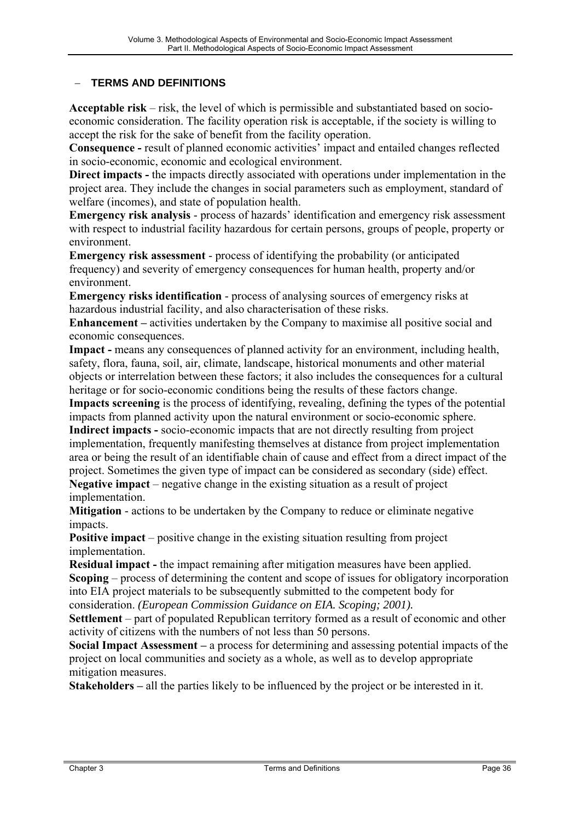## <span id="page-35-0"></span>− **TERMS AND DEFINITIONS**

**Acceptable risk** – risk, the level of which is permissible and substantiated based on socioeconomic consideration. The facility operation risk is acceptable, if the society is willing to accept the risk for the sake of benefit from the facility operation.

**Consequence -** result of planned economic activities' impact and entailed changes reflected in socio-economic, economic and ecological environment.

**Direct impacts - the impacts directly associated with operations under implementation in the** project area. They include the changes in social parameters such as employment, standard of welfare (incomes), and state of population health.

**Emergency risk analysis** - process of hazards' identification and emergency risk assessment with respect to industrial facility hazardous for certain persons, groups of people, property or environment.

**Emergency risk assessment** - process of identifying the probability (or anticipated frequency) and severity of emergency consequences for human health, property and/or environment.

**Emergency risks identification** - process of analysing sources of emergency risks at hazardous industrial facility, and also characterisation of these risks.

**Enhancement –** activities undertaken by the Company to maximise all positive social and economic consequences.

**Impact -** means any consequences of planned activity for an environment, including health, safety, flora, fauna, soil, air, climate, landscape, historical monuments and other material objects or interrelation between these factors; it also includes the consequences for a cultural heritage or for socio-economic conditions being the results of these factors change.

**Impacts screening** is the process of identifying, revealing, defining the types of the potential impacts from planned activity upon the natural environment or socio-economic sphere. **Indirect impacts -** socio-economic impacts that are not directly resulting from project

implementation, frequently manifesting themselves at distance from project implementation area or being the result of an identifiable chain of cause and effect from a direct impact of the project. Sometimes the given type of impact can be considered as secondary (side) effect. **Negative impact** – negative change in the existing situation as a result of project implementation.

**Mitigation** - actions to be undertaken by the Company to reduce or eliminate negative impacts.

**Positive impact** – positive change in the existing situation resulting from project implementation.

**Residual impact - the impact remaining after mitigation measures have been applied.** 

**Scoping** – process of determining the content and scope of issues for obligatory incorporation into EIA project materials to be subsequently submitted to the competent body for

consideration. *(European Commission Guidance on EIA. Scoping; 2001).* 

**Settlement** – part of populated Republican territory formed as a result of economic and other activity of citizens with the numbers of not less than 50 persons.

**Social Impact Assessment –** a process for determining and assessing potential impacts of the project on local communities and society as a whole, as well as to develop appropriate mitigation measures.

**Stakeholders –** all the parties likely to be influenced by the project or be interested in it.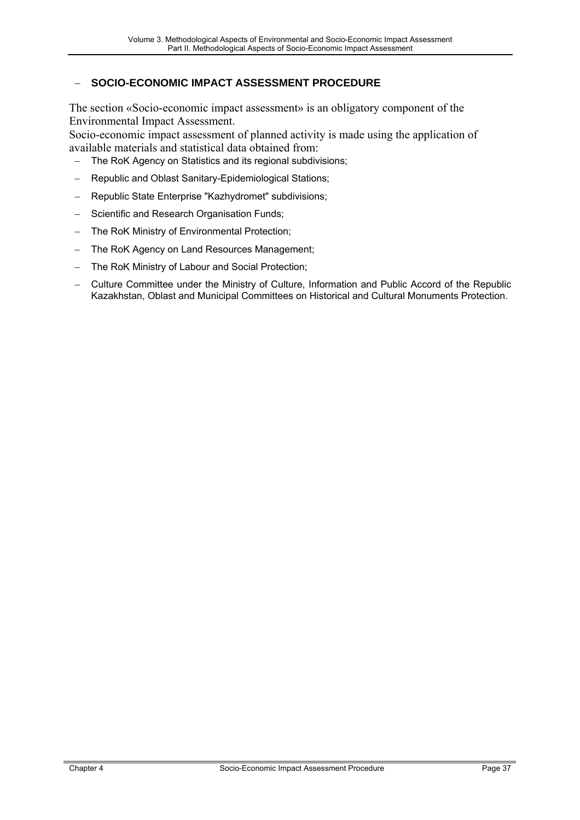## <span id="page-36-0"></span>− **SOCIO-ECONOMIC IMPACT ASSESSMENT PROCEDURE**

The section «Socio-economic impact assessment» is an obligatory component of the Environmental Impact Assessment.

Socio-economic impact assessment of planned activity is made using the application of available materials and statistical data obtained from:

The RoK Agency on Statistics and its regional subdivisions;

- − Republic and Oblast Sanitary-Epidemiological Stations;
- − Republic State Enterprise "Kazhydromet" subdivisions;
- − Scientific and Research Organisation Funds;
- − The RoK Ministry of Environmental Protection;
- − The RoK Agency on Land Resources Management;
- The RoK Ministry of Labour and Social Protection;
- − Culture Committee under the Ministry of Culture, Information and Public Accord of the Republic Kazakhstan, Oblast and Municipal Committees on Historical and Cultural Monuments Protection.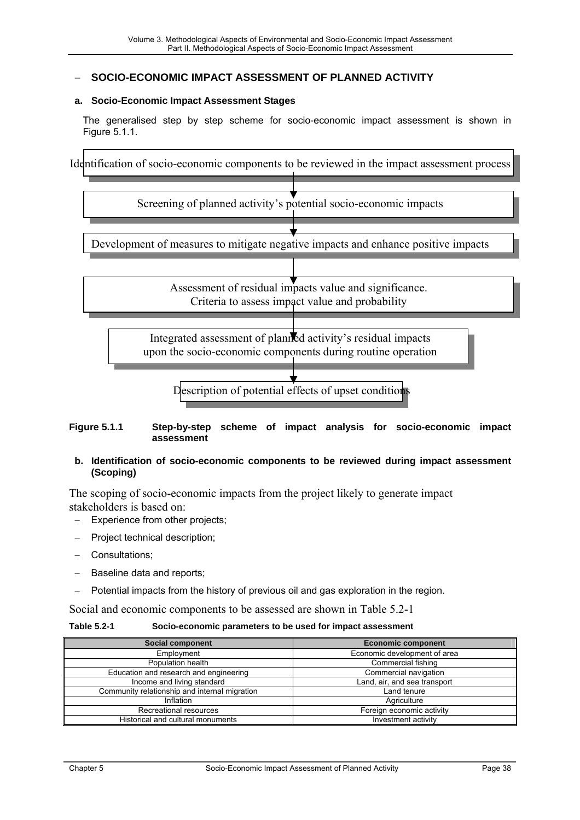### <span id="page-37-0"></span>− **SOCIO-ECONOMIC IMPACT ASSESSMENT OF PLANNED ACTIVITY**

#### **a. Socio-Economic Impact Assessment Stages**

The generalised step by step scheme for socio-economic impact assessment is shown in Figure 5.1.1.

Identification of socio-economic components to be reviewed in the impact assessment process



#### **Figure 5.1.1 Step-by-step scheme of impact analysis for socio-economic impact assessment**

#### **b. Identification of socio-economic components to be reviewed during impact assessment (Scoping)**

The scoping of socio-economic impacts from the project likely to generate impact stakeholders is based on:

- Experience from other projects;
- Project technical description;
- − Consultations;
- − Baseline data and reports;
- Potential impacts from the history of previous oil and gas exploration in the region.

Social and economic components to be assessed are shown in Table 5.2-1

#### **Table 5.2-1 Socio-economic parameters to be used for impact assessment**

| <b>Social component</b>                       | <b>Economic component</b>    |  |
|-----------------------------------------------|------------------------------|--|
| Employment                                    | Economic development of area |  |
| Population health                             | Commercial fishing           |  |
| Education and research and engineering        | Commercial navigation        |  |
| Income and living standard                    | Land, air, and sea transport |  |
| Community relationship and internal migration | Land tenure                  |  |
| Inflation                                     | Agriculture                  |  |
| Recreational resources                        | Foreign economic activity    |  |
| Historical and cultural monuments             | Investment activity          |  |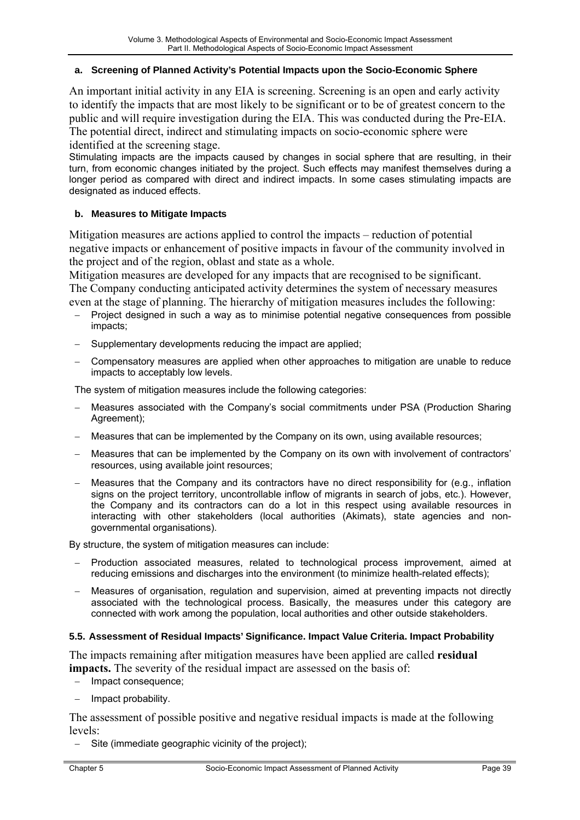#### <span id="page-38-0"></span>**a. Screening of Planned Activity's Potential Impacts upon the Socio-Economic Sphere**

An important initial activity in any EIA is screening. Screening is an open and early activity to identify the impacts that are most likely to be significant or to be of greatest concern to the public and will require investigation during the EIA. This was conducted during the Pre-EIA. The potential direct, indirect and stimulating impacts on socio-economic sphere were identified at the screening stage.

Stimulating impacts are the impacts caused by changes in social sphere that are resulting, in their turn, from economic changes initiated by the project. Such effects may manifest themselves during a longer period as compared with direct and indirect impacts. In some cases stimulating impacts are designated as induced effects.

#### **b. Measures to Mitigate Impacts**

Mitigation measures are actions applied to control the impacts – reduction of potential negative impacts or enhancement of positive impacts in favour of the community involved in the project and of the region, oblast and state as a whole.

Mitigation measures are developed for any impacts that are recognised to be significant. The Company conducting anticipated activity determines the system of necessary measures even at the stage of planning. The hierarchy of mitigation measures includes the following:

- Project designed in such a way as to minimise potential negative consequences from possible impacts;
- Supplementary developments reducing the impact are applied;
- − Compensatory measures are applied when other approaches to mitigation are unable to reduce impacts to acceptably low levels.

The system of mitigation measures include the following categories:

- − Measures associated with the Company's social commitments under PSA (Production Sharing Agreement);
- Measures that can be implemented by the Company on its own, using available resources;
- − Measures that can be implemented by the Company on its own with involvement of contractors' resources, using available joint resources;
- − Measures that the Company and its contractors have no direct responsibility for (e.g., inflation signs on the project territory, uncontrollable inflow of migrants in search of jobs, etc.). However, the Company and its contractors can do a lot in this respect using available resources in interacting with other stakeholders (local authorities (Akimats), state agencies and nongovernmental organisations).

By structure, the system of mitigation measures can include:

- − Production associated measures, related to technological process improvement, aimed at reducing emissions and discharges into the environment (to minimize health-related effects);
- − Measures of organisation, regulation and supervision, aimed at preventing impacts not directly associated with the technological process. Basically, the measures under this category are connected with work among the population, local authorities and other outside stakeholders.

#### **5.5. Assessment of Residual Impacts' Significance. Impact Value Criteria. Impact Probability**

The impacts remaining after mitigation measures have been applied are called **residual impacts.** The severity of the residual impact are assessed on the basis of:

- − Impact consequence;
- − Impact probability.

The assessment of possible positive and negative residual impacts is made at the following levels:

Site (immediate geographic vicinity of the project);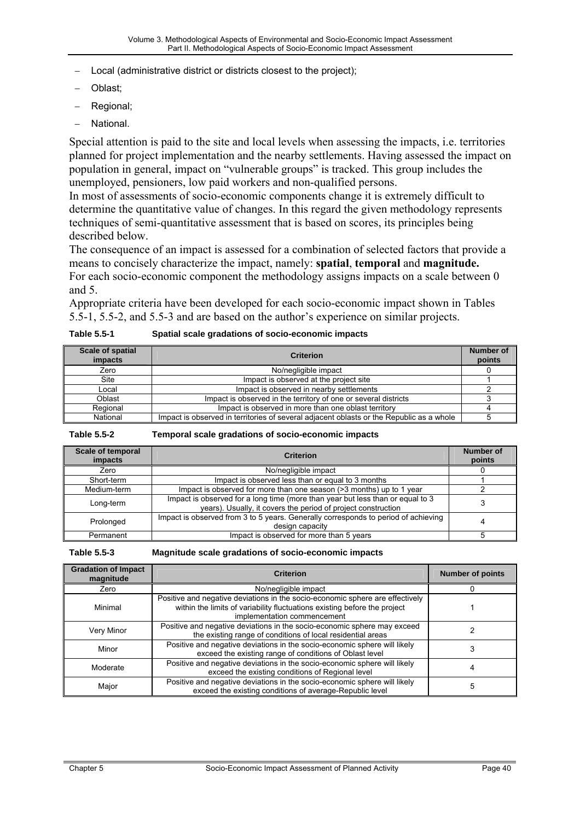- <span id="page-39-0"></span>Local (administrative district or districts closest to the project):
- − Oblast;
- − Regional;
- − National.

Special attention is paid to the site and local levels when assessing the impacts, i.e. territories planned for project implementation and the nearby settlements. Having assessed the impact on population in general, impact on "vulnerable groups" is tracked. This group includes the unemployed, pensioners, low paid workers and non-qualified persons.

In most of assessments of socio-economic components change it is extremely difficult to determine the quantitative value of changes. In this regard the given methodology represents techniques of semi-quantitative assessment that is based on scores, its principles being described below.

The consequence of an impact is assessed for a combination of selected factors that provide a means to concisely characterize the impact, namely: **spatial**, **temporal** and **magnitude.**  For each socio-economic component the methodology assigns impacts on a scale between 0 and 5.

Appropriate criteria have been developed for each socio-economic impact shown in Tables 5.5-1, 5.5-2, and 5.5-3 and are based on the author's experience on similar projects.

| <b>Scale of spatial</b><br><i>impacts</i> | <b>Criterion</b>                                                                         | Number of<br>points |
|-------------------------------------------|------------------------------------------------------------------------------------------|---------------------|
| Zero                                      | No/negligible impact                                                                     |                     |
| Site                                      | Impact is observed at the project site                                                   |                     |
| Local                                     | Impact is observed in nearby settlements                                                 |                     |
| Oblast                                    | Impact is observed in the territory of one or several districts                          |                     |
| Regional                                  | Impact is observed in more than one oblast territory                                     |                     |
| National                                  | Impact is observed in territories of several adjacent oblasts or the Republic as a whole |                     |

**Table 5.5-1 Spatial scale gradations of socio-economic impacts** 

**Table 5.5-2 Temporal scale gradations of socio-economic impacts**

| Scale of temporal<br>impacts | <b>Criterion</b>                                                                                                                                | Number of<br>points |
|------------------------------|-------------------------------------------------------------------------------------------------------------------------------------------------|---------------------|
| Zero                         | No/negligible impact                                                                                                                            |                     |
| Short-term                   | Impact is observed less than or equal to 3 months                                                                                               |                     |
| Medium-term                  | Impact is observed for more than one season (>3 months) up to 1 year                                                                            |                     |
| Long-term                    | Impact is observed for a long time (more than year but less than or equal to 3<br>years). Usually, it covers the period of project construction |                     |
| Prolonged                    | Impact is observed from 3 to 5 years. Generally corresponds to period of achieving<br>design capacity                                           |                     |
| Permanent                    | Impact is observed for more than 5 years                                                                                                        |                     |

#### **Table 5.5-3 Magnitude scale gradations of socio-economic impacts**

| <b>Gradation of Impact</b><br>magnitude                                                                                                        | <b>Criterion</b>                                                                                                                                                                          |   |
|------------------------------------------------------------------------------------------------------------------------------------------------|-------------------------------------------------------------------------------------------------------------------------------------------------------------------------------------------|---|
| Zero                                                                                                                                           | No/negligible impact                                                                                                                                                                      |   |
| Minimal                                                                                                                                        | Positive and negative deviations in the socio-economic sphere are effectively<br>within the limits of variability fluctuations existing before the project<br>implementation commencement |   |
| Very Minor                                                                                                                                     | Positive and negative deviations in the socio-economic sphere may exceed<br>the existing range of conditions of local residential areas                                                   |   |
| Minor                                                                                                                                          | Positive and negative deviations in the socio-economic sphere will likely<br>exceed the existing range of conditions of Oblast level                                                      |   |
| Moderate                                                                                                                                       | Positive and negative deviations in the socio-economic sphere will likely<br>exceed the existing conditions of Regional level                                                             |   |
| Positive and negative deviations in the socio-economic sphere will likely<br>Major<br>exceed the existing conditions of average-Republic level |                                                                                                                                                                                           | 5 |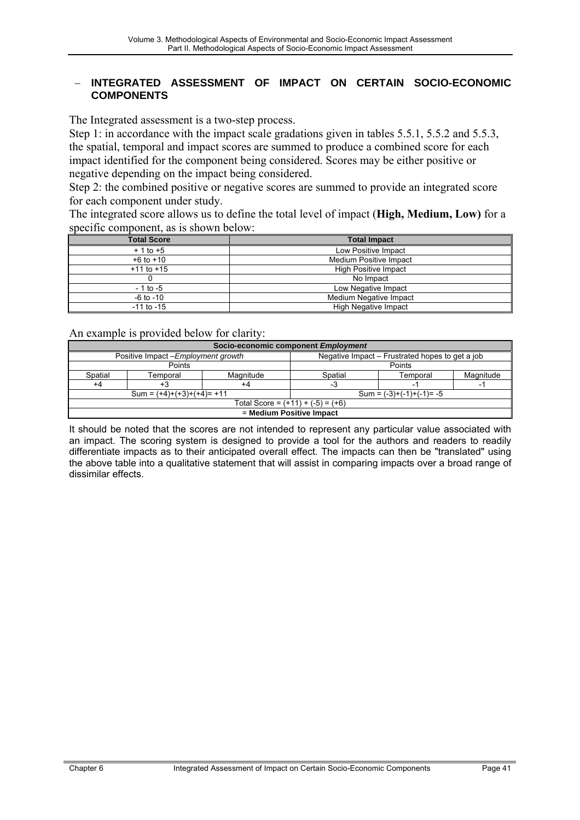### <span id="page-40-0"></span>− **INTEGRATED ASSESSMENT OF IMPACT ON CERTAIN SOCIO-ECONOMIC COMPONENTS**

The Integrated assessment is a two-step process.

Step 1: in accordance with the impact scale gradations given in tables 5.5.1, 5.5.2 and 5.5.3, the spatial, temporal and impact scores are summed to produce a combined score for each impact identified for the component being considered. Scores may be either positive or negative depending on the impact being considered.

Step 2: the combined positive or negative scores are summed to provide an integrated score for each component under study.

The integrated score allows us to define the total level of impact (**High, Medium, Low)** for a specific component, as is shown below:

| <b>Total Score</b> | <b>Total Impact</b>         |  |  |
|--------------------|-----------------------------|--|--|
| $+1$ to $+5$       | Low Positive Impact         |  |  |
| $+6$ to $+10$      | Medium Positive Impact      |  |  |
| $+11$ to $+15$     | <b>High Positive Impact</b> |  |  |
|                    | No Impact                   |  |  |
| $-1$ to $-5$       | Low Negative Impact         |  |  |
| $-6$ to $-10$      | Medium Negative Impact      |  |  |
| $-11$ to $-15$     | High Negative Impact        |  |  |

An example is provided below for clarity:

| Socio-economic component Employment |                             |                                                 |                             |          |           |
|-------------------------------------|-----------------------------|-------------------------------------------------|-----------------------------|----------|-----------|
| Positive Impact - Employment growth |                             | Negative Impact - Frustrated hopes to get a job |                             |          |           |
| Points                              |                             | Points                                          |                             |          |           |
| Spatial                             | Temporal                    | Magnitude                                       | Spatial                     | Temporal | Magnitude |
| +4                                  | +3                          | +4                                              | -3                          |          |           |
|                                     | $Sum = (+4)+(+3)+(+4)= +11$ |                                                 | Sum = $(-3)+(-1)+(-1)$ = -5 |          |           |
| Total Score = $(+11) + (-5) = (+6)$ |                             |                                                 |                             |          |           |
| = Medium Positive Impact            |                             |                                                 |                             |          |           |

It should be noted that the scores are not intended to represent any particular value associated with an impact. The scoring system is designed to provide a tool for the authors and readers to readily differentiate impacts as to their anticipated overall effect. The impacts can then be "translated" using the above table into a qualitative statement that will assist in comparing impacts over a broad range of dissimilar effects.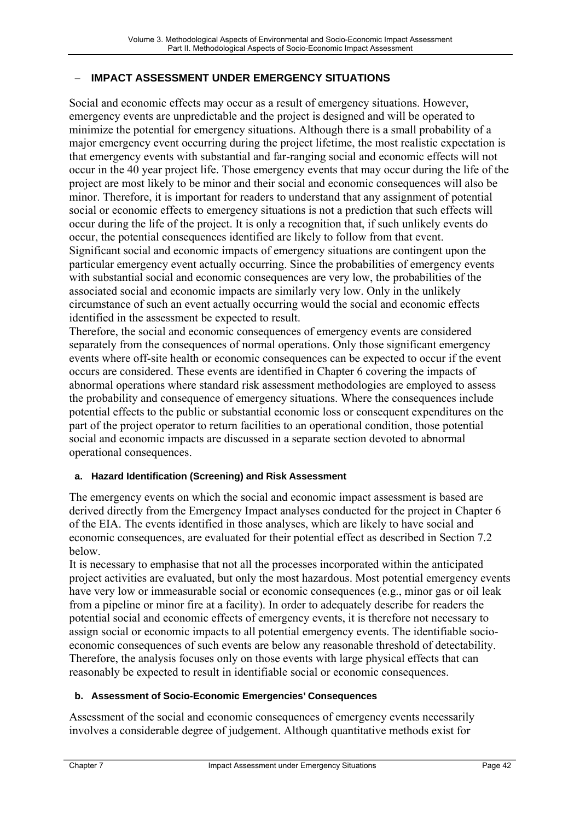# <span id="page-41-0"></span>− **IMPACT ASSESSMENT UNDER EMERGENCY SITUATIONS**

Social and economic effects may occur as a result of emergency situations. However, emergency events are unpredictable and the project is designed and will be operated to minimize the potential for emergency situations. Although there is a small probability of a major emergency event occurring during the project lifetime, the most realistic expectation is that emergency events with substantial and far-ranging social and economic effects will not occur in the 40 year project life. Those emergency events that may occur during the life of the project are most likely to be minor and their social and economic consequences will also be minor. Therefore, it is important for readers to understand that any assignment of potential social or economic effects to emergency situations is not a prediction that such effects will occur during the life of the project. It is only a recognition that, if such unlikely events do occur, the potential consequences identified are likely to follow from that event. Significant social and economic impacts of emergency situations are contingent upon the particular emergency event actually occurring. Since the probabilities of emergency events with substantial social and economic consequences are very low, the probabilities of the associated social and economic impacts are similarly very low. Only in the unlikely circumstance of such an event actually occurring would the social and economic effects identified in the assessment be expected to result.

Therefore, the social and economic consequences of emergency events are considered separately from the consequences of normal operations. Only those significant emergency events where off-site health or economic consequences can be expected to occur if the event occurs are considered. These events are identified in Chapter 6 covering the impacts of abnormal operations where standard risk assessment methodologies are employed to assess the probability and consequence of emergency situations. Where the consequences include potential effects to the public or substantial economic loss or consequent expenditures on the part of the project operator to return facilities to an operational condition, those potential social and economic impacts are discussed in a separate section devoted to abnormal operational consequences.

## **a. Hazard Identification (Screening) and Risk Assessment**

The emergency events on which the social and economic impact assessment is based are derived directly from the Emergency Impact analyses conducted for the project in Chapter 6 of the EIA. The events identified in those analyses, which are likely to have social and economic consequences, are evaluated for their potential effect as described in Section 7.2 below.

It is necessary to emphasise that not all the processes incorporated within the anticipated project activities are evaluated, but only the most hazardous. Most potential emergency events have very low or immeasurable social or economic consequences (e.g., minor gas or oil leak from a pipeline or minor fire at a facility). In order to adequately describe for readers the potential social and economic effects of emergency events, it is therefore not necessary to assign social or economic impacts to all potential emergency events. The identifiable socioeconomic consequences of such events are below any reasonable threshold of detectability. Therefore, the analysis focuses only on those events with large physical effects that can reasonably be expected to result in identifiable social or economic consequences.

## **b. Assessment of Socio-Economic Emergencies' Consequences**

Assessment of the social and economic consequences of emergency events necessarily involves a considerable degree of judgement. Although quantitative methods exist for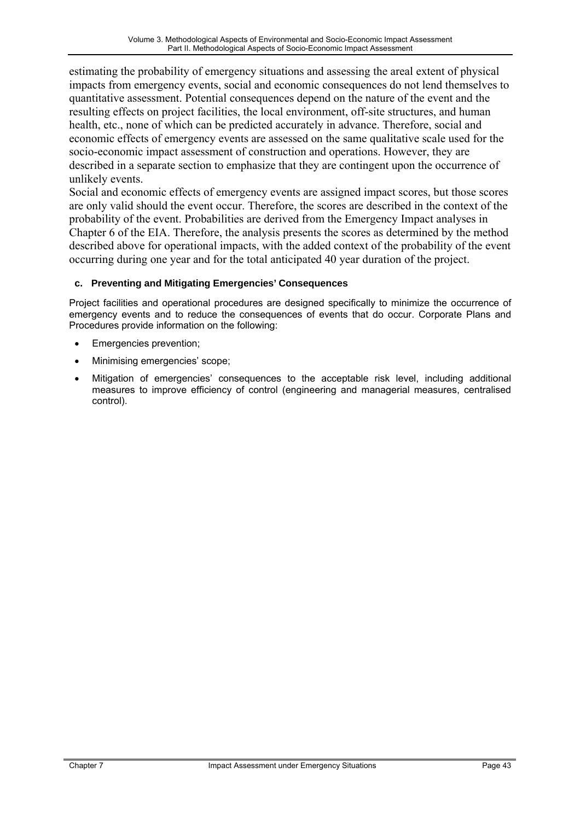<span id="page-42-0"></span>estimating the probability of emergency situations and assessing the areal extent of physical impacts from emergency events, social and economic consequences do not lend themselves to quantitative assessment. Potential consequences depend on the nature of the event and the resulting effects on project facilities, the local environment, off-site structures, and human health, etc., none of which can be predicted accurately in advance. Therefore, social and economic effects of emergency events are assessed on the same qualitative scale used for the socio-economic impact assessment of construction and operations. However, they are described in a separate section to emphasize that they are contingent upon the occurrence of unlikely events.

Social and economic effects of emergency events are assigned impact scores, but those scores are only valid should the event occur. Therefore, the scores are described in the context of the probability of the event. Probabilities are derived from the Emergency Impact analyses in Chapter 6 of the EIA. Therefore, the analysis presents the scores as determined by the method described above for operational impacts, with the added context of the probability of the event occurring during one year and for the total anticipated 40 year duration of the project.

## **c. Preventing and Mitigating Emergencies' Consequences**

Project facilities and operational procedures are designed specifically to minimize the occurrence of emergency events and to reduce the consequences of events that do occur. Corporate Plans and Procedures provide information on the following:

- Emergencies prevention;
- Minimising emergencies' scope;
- Mitigation of emergencies' consequences to the acceptable risk level, including additional measures to improve efficiency of control (engineering and managerial measures, centralised control).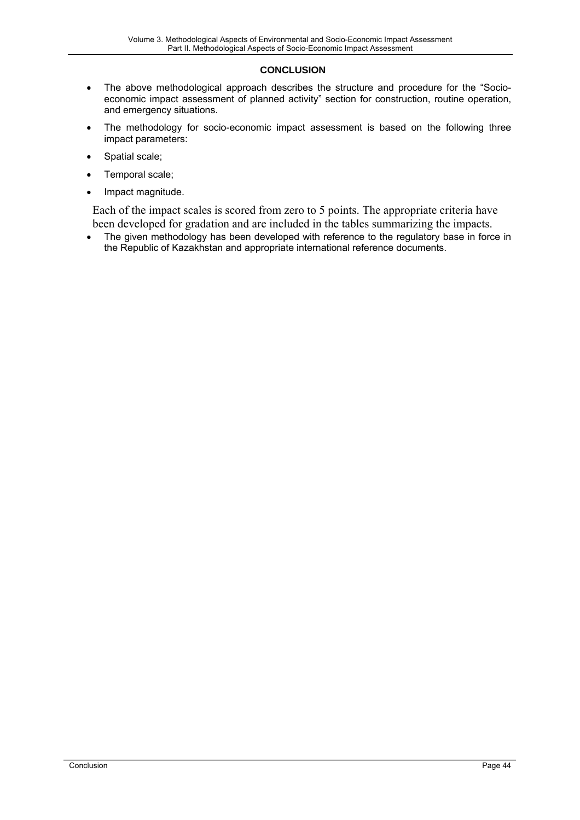#### **CONCLUSION**

- The above methodological approach describes the structure and procedure for the "Socioeconomic impact assessment of planned activity" section for construction, routine operation, and emergency situations.
- The methodology for socio-economic impact assessment is based on the following three impact parameters:
- Spatial scale;
- Temporal scale;
- Impact magnitude.

Each of the impact scales is scored from zero to 5 points. The appropriate criteria have been developed for gradation and are included in the tables summarizing the impacts.

• The given methodology has been developed with reference to the regulatory base in force in the Republic of Kazakhstan and appropriate international reference documents.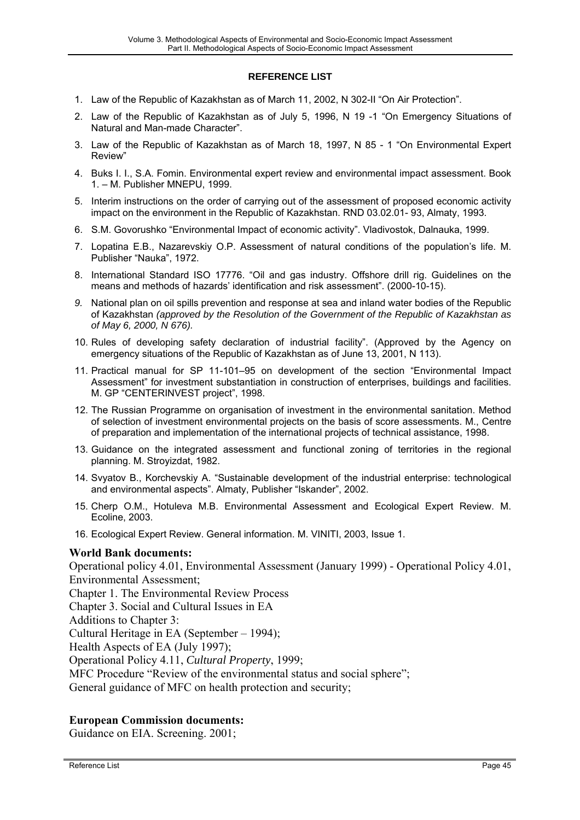#### **REFERENCE LIST**

- <span id="page-44-0"></span>1. Law of the Republic of Kazakhstan as of March 11, 2002, N 302-II "On Air Protection".
- 2. Law of the Republic of Kazakhstan as of July 5, 1996, N 19 -1 "On Emergency Situations of Natural and Man-made Character".
- 3. Law of the Republic of Kazakhstan as of March 18, 1997, N 85 1 "On Environmental Expert Review"
- 4. Buks I. I., S.A. Fomin. Environmental expert review and environmental impact assessment. Book 1. – M. Publisher MNEPU, 1999.
- 5. Interim instructions on the order of carrying out of the assessment of proposed economic activity impact on the environment in the Republic of Kazakhstan. RND 03.02.01- 93, Almaty, 1993.
- 6. S.M. Govorushko "Environmental Impact of economic activity". Vladivostok, Dalnauka, 1999.
- 7. Lopatina E.B., Nazarevskiy O.P. Assessment of natural conditions of the population's life. M. Publisher "Nauka", 1972.
- 8. International Standard ISO 17776. "Oil and gas industry. Offshore drill rig. Guidelines on the means and methods of hazards' identification and risk assessment". (2000-10-15).
- *9.* National plan on oil spills prevention and response at sea and inland water bodies of the Republic of Kazakhstan *(approved by the Resolution of the Government of the Republic of Kazakhstan as of May 6, 2000, N 676).*
- 10. Rules of developing safety declaration of industrial facility". (Approved by the Agency on emergency situations of the Republic of Kazakhstan as of June 13, 2001, N 113).
- 11. Practical manual for SP 11-101–95 on development of the section "Environmental Impact Assessment" for investment substantiation in construction of enterprises, buildings and facilities. M. GP "CENTERINVEST project", 1998.
- 12. The Russian Programme on organisation of investment in the environmental sanitation. Method of selection of investment environmental projects on the basis of score assessments. M., Centre of preparation and implementation of the international projects of technical assistance, 1998.
- 13. Guidance on the integrated assessment and functional zoning of territories in the regional planning. M. Stroyizdat, 1982.
- 14. Svyatov B., Korchevskiy A. "Sustainable development of the industrial enterprise: technological and environmental aspects". Almaty, Publisher "Iskander", 2002.
- 15. Cherp O.M., Hotuleva M.B. Environmental Assessment and Ecological Expert Review. M. Ecoline, 2003.
- 16. Ecological Expert Review. General information. M. VINITI, 2003, Issue 1.

## **World Bank documents:**

Operational policy 4.01, Environmental Assessment (January 1999) - Operational Policy 4.01, Environmental Assessment;

Chapter 1. The Environmental Review Process

Chapter 3. Social and Cultural Issues in EA

Additions to Chapter 3:

Cultural Heritage in EA (September – 1994);

Health Aspects of EA (July 1997);

Operational Policy 4.11, *Cultural Property*, 1999;

MFC Procedure "Review of the environmental status and social sphere";

General guidance of MFC on health protection and security;

## **European Commission documents:**

Guidance on EIA. Screening. 2001;